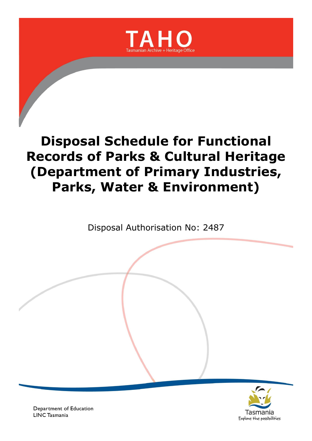

Disposal Authorisation No: 2487



Department of Education **LINC Tasmania**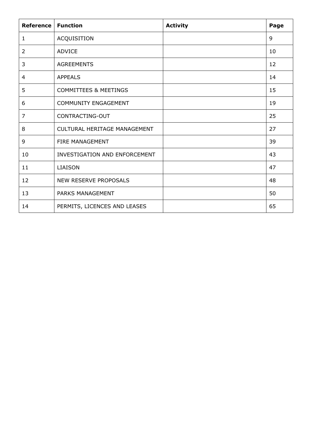| <b>Reference</b> | <b>Function</b>                     | <b>Activity</b> | Page |
|------------------|-------------------------------------|-----------------|------|
| 1                | ACQUISITION                         |                 | 9    |
| 2                | <b>ADVICE</b>                       |                 | 10   |
| 3                | <b>AGREEMENTS</b>                   |                 | 12   |
| 4                | <b>APPEALS</b>                      |                 | 14   |
| 5                | <b>COMMITTEES &amp; MEETINGS</b>    |                 | 15   |
| 6                | <b>COMMUNITY ENGAGEMENT</b>         |                 | 19   |
| 7                | CONTRACTING-OUT                     |                 | 25   |
| 8                | <b>CULTURAL HERITAGE MANAGEMENT</b> |                 | 27   |
| 9                | FIRE MANAGEMENT                     |                 | 39   |
| 10               | INVESTIGATION AND ENFORCEMENT       |                 | 43   |
| 11               | <b>LIAISON</b>                      |                 | 47   |
| 12               | <b>NEW RESERVE PROPOSALS</b>        |                 | 48   |
| 13               | PARKS MANAGEMENT                    |                 | 50   |
| 14               | PERMITS, LICENCES AND LEASES        |                 | 65   |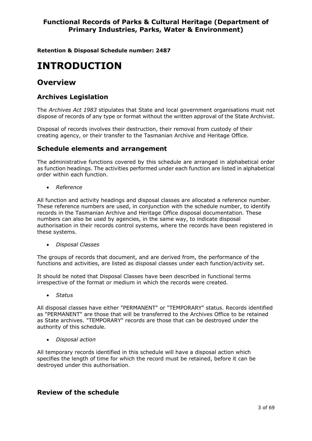**Retention & Disposal Schedule number: 2487**

# **INTRODUCTION**

# **Overview**

# **Archives Legislation**

The *Archives Act 1983* stipulates that State and local government organisations must not dispose of records of any type or format without the written approval of the State Archivist.

Disposal of records involves their destruction, their removal from custody of their creating agency, or their transfer to the Tasmanian Archive and Heritage Office.

#### **Schedule elements and arrangement**

The administrative functions covered by this schedule are arranged in alphabetical order as function headings. The activities performed under each function are listed in alphabetical order within each function.

*Reference*

All function and activity headings and disposal classes are allocated a reference number. These reference numbers are used, in conjunction with the schedule number, to identify records in the Tasmanian Archive and Heritage Office disposal documentation. These numbers can also be used by agencies, in the same way, to indicate disposal authorisation in their records control systems, where the records have been registered in these systems.

*Disposal Classes*

The groups of records that document, and are derived from, the performance of the functions and activities, are listed as disposal classes under each function/activity set.

It should be noted that Disposal Classes have been described in functional terms irrespective of the format or medium in which the records were created.

*Status*

All disposal classes have either "PERMANENT" or "TEMPORARY" status. Records identified as "PERMANENT" are those that will be transferred to the Archives Office to be retained as State archives. "TEMPORARY" records are those that can be destroyed under the authority of this schedule.

*Disposal action*

All temporary records identified in this schedule will have a disposal action which specifies the length of time for which the record must be retained, before it can be destroyed under this authorisation.

# **Review of the schedule**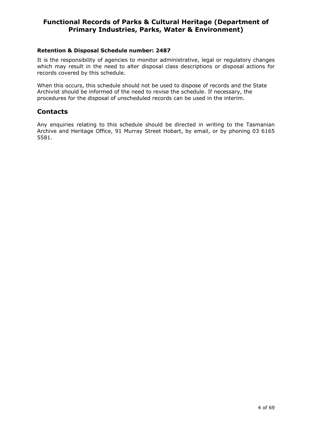#### **Retention & Disposal Schedule number: 2487**

It is the responsibility of agencies to monitor administrative, legal or regulatory changes which may result in the need to alter disposal class descriptions or disposal actions for records covered by this schedule.

When this occurs, this schedule should not be used to dispose of records and the State Archivist should be informed of the need to revise the schedule. If necessary, the procedures for the disposal of unscheduled records can be used in the interim.

# **Contacts**

Any enquiries relating to this schedule should be directed in writing to the Tasmanian Archive and Heritage Office, 91 Murray Street Hobart, by email, or by phoning 03 6165 5581.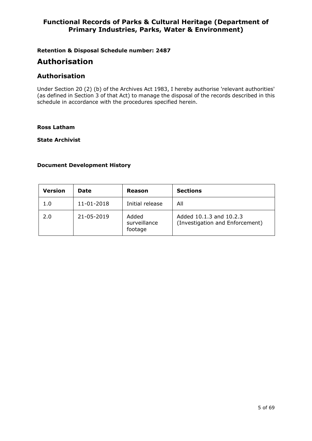**Retention & Disposal Schedule number: 2487**

# **Authorisation**

# **Authorisation**

Under Section 20 (2) (b) of the Archives Act 1983, I hereby authorise 'relevant authorities' (as defined in Section 3 of that Act) to manage the disposal of the records described in this schedule in accordance with the procedures specified herein.

#### **Ross Latham**

**State Archivist**

#### **Document Development History**

| Version | <b>Date</b> | Reason                           | <b>Sections</b>                                            |
|---------|-------------|----------------------------------|------------------------------------------------------------|
| 1.0     | 11-01-2018  | Initial release                  | All                                                        |
| 2.0     | 21-05-2019  | Added<br>surveillance<br>footage | Added 10.1.3 and 10.2.3<br>(Investigation and Enforcement) |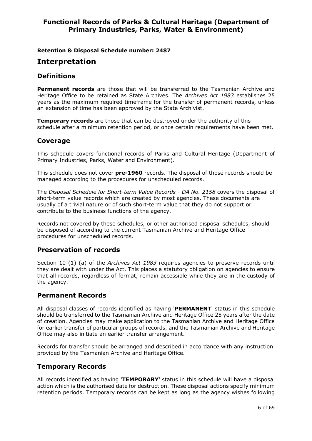**Retention & Disposal Schedule number: 2487**

# **Interpretation**

# **Definitions**

**Permanent records** are those that will be transferred to the Tasmanian Archive and Heritage Office to be retained as State Archives. The *Archives Act 1983* establishes 25 years as the maximum required timeframe for the transfer of permanent records, unless an extension of time has been approved by the State Archivist.

**Temporary records** are those that can be destroyed under the authority of this schedule after a minimum retention period, or once certain requirements have been met.

# **Coverage**

This schedule covers functional records of Parks and Cultural Heritage (Department of Primary Industries, Parks, Water and Environment).

This schedule does not cover **pre-1960** records. The disposal of those records should be managed according to the procedures for unscheduled records.

The *Disposal Schedule for Short-term Value Records - DA No. 2158* covers the disposal of short-term value records which are created by most agencies. These documents are usually of a trivial nature or of such short-term value that they do not support or contribute to the business functions of the agency.

Records not covered by these schedules, or other authorised disposal schedules, should be disposed of according to the current Tasmanian Archive and Heritage Office procedures for unscheduled records.

# **Preservation of records**

Section 10 (1) (a) of the *Archives Act 1983* requires agencies to preserve records until they are dealt with under the Act. This places a statutory obligation on agencies to ensure that all records, regardless of format, remain accessible while they are in the custody of the agency.

#### **Permanent Records**

All disposal classes of records identified as having '**PERMANENT**' status in this schedule should be transferred to the Tasmanian Archive and Heritage Office 25 years after the date of creation. Agencies may make application to the Tasmanian Archive and Heritage Office for earlier transfer of particular groups of records, and the Tasmanian Archive and Heritage Office may also initiate an earlier transfer arrangement.

Records for transfer should be arranged and described in accordance with any instruction provided by the Tasmanian Archive and Heritage Office.

# **Temporary Records**

All records identified as having '**TEMPORARY**' status in this schedule will have a disposal action which is the authorised date for destruction. These disposal actions specify minimum retention periods. Temporary records can be kept as long as the agency wishes following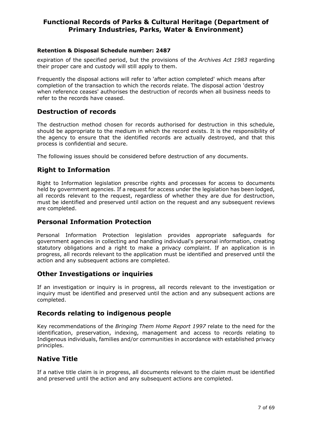#### **Retention & Disposal Schedule number: 2487**

expiration of the specified period, but the provisions of the *Archives Act 1983* regarding their proper care and custody will still apply to them.

Frequently the disposal actions will refer to 'after action completed' which means after completion of the transaction to which the records relate. The disposal action 'destroy when reference ceases' authorises the destruction of records when all business needs to refer to the records have ceased.

# **Destruction of records**

The destruction method chosen for records authorised for destruction in this schedule, should be appropriate to the medium in which the record exists. It is the responsibility of the agency to ensure that the identified records are actually destroyed, and that this process is confidential and secure.

The following issues should be considered before destruction of any documents.

# **Right to Information**

Right to Information legislation prescribe rights and processes for access to documents held by government agencies. If a request for access under the legislation has been lodged, all records relevant to the request, regardless of whether they are due for destruction, must be identified and preserved until action on the request and any subsequent reviews are completed.

# **Personal Information Protection**

Personal Information Protection legislation provides appropriate safeguards for government agencies in collecting and handling individual's personal information, creating statutory obligations and a right to make a privacy complaint. If an application is in progress, all records relevant to the application must be identified and preserved until the action and any subsequent actions are completed.

# **Other Investigations or inquiries**

If an investigation or inquiry is in progress, all records relevant to the investigation or inquiry must be identified and preserved until the action and any subsequent actions are completed.

# **Records relating to indigenous people**

Key recommendations of the *Bringing Them Home Report 1997* relate to the need for the identification, preservation, indexing, management and access to records relating to Indigenous individuals, families and/or communities in accordance with established privacy principles.

# **Native Title**

If a native title claim is in progress, all documents relevant to the claim must be identified and preserved until the action and any subsequent actions are completed.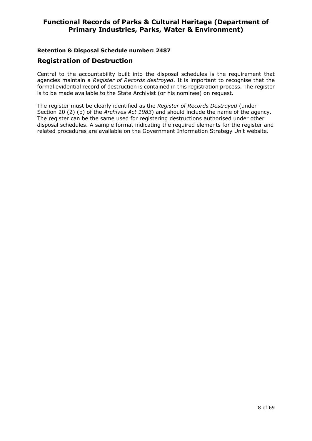#### **Retention & Disposal Schedule number: 2487**

#### **Registration of Destruction**

Central to the accountability built into the disposal schedules is the requirement that agencies maintain a *Register of Records destroyed*. It is important to recognise that the formal evidential record of destruction is contained in this registration process. The register is to be made available to the State Archivist (or his nominee) on request.

The register must be clearly identified as the *Register of Records Destroyed* (under Section 20 (2) (b) of the *Archives Act 1983*) and should include the name of the agency. The register can be the same used for registering destructions authorised under other disposal schedules. A sample format indicating the required elements for the register and related procedures are available on the Government Information Strategy Unit website.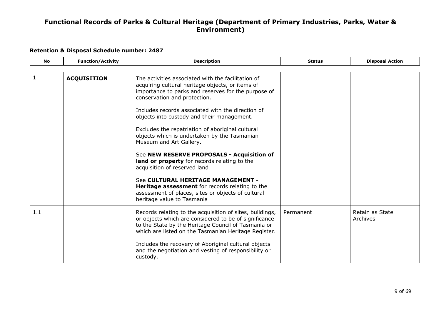<span id="page-8-0"></span>

| <b>No</b> | <b>Function/Activity</b> | <b>Description</b>                                                                                                                                                                                                                                                                                                                                                                                                                                                                                                                                            | <b>Status</b> | <b>Disposal Action</b>      |
|-----------|--------------------------|---------------------------------------------------------------------------------------------------------------------------------------------------------------------------------------------------------------------------------------------------------------------------------------------------------------------------------------------------------------------------------------------------------------------------------------------------------------------------------------------------------------------------------------------------------------|---------------|-----------------------------|
|           |                          |                                                                                                                                                                                                                                                                                                                                                                                                                                                                                                                                                               |               |                             |
|           | <b>ACQUISITION</b>       | The activities associated with the facilitation of<br>acquiring cultural heritage objects, or items of<br>importance to parks and reserves for the purpose of<br>conservation and protection.<br>Includes records associated with the direction of<br>objects into custody and their management.<br>Excludes the repatriation of aboriginal cultural<br>objects which is undertaken by the Tasmanian<br>Museum and Art Gallery.<br>See NEW RESERVE PROPOSALS - Acquisition of<br>land or property for records relating to the<br>acquisition of reserved land |               |                             |
|           |                          | See CULTURAL HERITAGE MANAGEMENT -<br>Heritage assessment for records relating to the<br>assessment of places, sites or objects of cultural<br>heritage value to Tasmania                                                                                                                                                                                                                                                                                                                                                                                     |               |                             |
| 1.1       |                          | Records relating to the acquisition of sites, buildings,<br>or objects which are considered to be of significance<br>to the State by the Heritage Council of Tasmania or<br>which are listed on the Tasmanian Heritage Register.<br>Includes the recovery of Aboriginal cultural objects<br>and the negotiation and vesting of responsibility or<br>custody.                                                                                                                                                                                                  | Permanent     | Retain as State<br>Archives |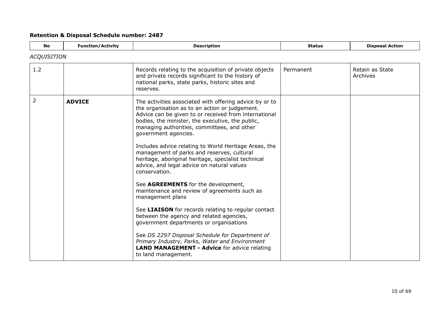<span id="page-9-0"></span>

| <b>No</b>          | <b>Function/Activity</b> | <b>Description</b>                                                                                                                                                                                                                                                                                                                                                                                                                                                                                                                                                                                                                                                                                                                                                                                                                                                                                                                              | <b>Status</b> | <b>Disposal Action</b>      |
|--------------------|--------------------------|-------------------------------------------------------------------------------------------------------------------------------------------------------------------------------------------------------------------------------------------------------------------------------------------------------------------------------------------------------------------------------------------------------------------------------------------------------------------------------------------------------------------------------------------------------------------------------------------------------------------------------------------------------------------------------------------------------------------------------------------------------------------------------------------------------------------------------------------------------------------------------------------------------------------------------------------------|---------------|-----------------------------|
| <b>ACQUISITION</b> |                          |                                                                                                                                                                                                                                                                                                                                                                                                                                                                                                                                                                                                                                                                                                                                                                                                                                                                                                                                                 |               |                             |
| 1.2                |                          | Records relating to the acquisition of private objects<br>and private records significant to the history of<br>national parks, state parks, historic sites and<br>reserves.                                                                                                                                                                                                                                                                                                                                                                                                                                                                                                                                                                                                                                                                                                                                                                     | Permanent     | Retain as State<br>Archives |
| $\overline{2}$     | <b>ADVICE</b>            | The activities associated with offering advice by or to<br>the organisation as to an action or judgement.<br>Advice can be given to or received from international<br>bodies, the minister, the executive, the public,<br>managing authorities, committees, and other<br>government agencies.<br>Includes advice relating to World Heritage Areas, the<br>management of parks and reserves, cultural<br>heritage, aboriginal heritage, specialist technical<br>advice, and legal advice on natural values<br>conservation.<br>See AGREEMENTS for the development,<br>maintenance and review of agreements such as<br>management plans<br>See LIAISON for records relating to regular contact<br>between the agency and related agencies,<br>government departments or organisations<br>See DS 2297 Disposal Schedule for Department of<br>Primary Industry, Parks, Water and Environment<br><b>LAND MANAGEMENT - Advice for advice relating</b> |               |                             |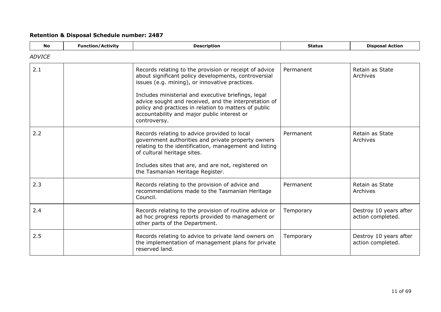| <b>No</b>     | <b>Function/Activity</b> | <b>Description</b>                                                                                                                                                                                                                                                                                                                                                                                       | <b>Status</b> | <b>Disposal Action</b>                      |
|---------------|--------------------------|----------------------------------------------------------------------------------------------------------------------------------------------------------------------------------------------------------------------------------------------------------------------------------------------------------------------------------------------------------------------------------------------------------|---------------|---------------------------------------------|
| <b>ADVICE</b> |                          |                                                                                                                                                                                                                                                                                                                                                                                                          |               |                                             |
| 2.1           |                          | Records relating to the provision or receipt of advice<br>about significant policy developments, controversial<br>issues (e.g. mining), or innovative practices.<br>Includes ministerial and executive briefings, legal<br>advice sought and received, and the interpretation of<br>policy and practices in relation to matters of public<br>accountability and major public interest or<br>controversy. | Permanent     | Retain as State<br>Archives                 |
| 2.2           |                          | Records relating to advice provided to local<br>government authorities and private property owners<br>relating to the identification, management and listing<br>of cultural heritage sites.<br>Includes sites that are, and are not, registered on<br>the Tasmanian Heritage Register.                                                                                                                   | Permanent     | Retain as State<br>Archives                 |
| 2.3           |                          | Records relating to the provision of advice and<br>recommendations made to the Tasmanian Heritage<br>Council.                                                                                                                                                                                                                                                                                            | Permanent     | Retain as State<br>Archives                 |
| 2.4           |                          | Records relating to the provision of routine advice or<br>ad hoc progress reports provided to management or<br>other parts of the Department.                                                                                                                                                                                                                                                            | Temporary     | Destroy 10 years after<br>action completed. |
| 2.5           |                          | Records relating to advice to private land owners on<br>the implementation of management plans for private<br>reserved land.                                                                                                                                                                                                                                                                             | Temporary     | Destroy 10 years after<br>action completed. |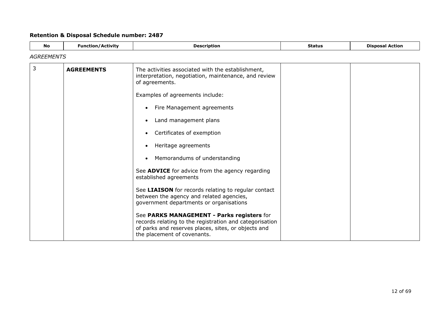<span id="page-11-0"></span>

| <b>No</b>         | <b>Function/Activity</b> | <b>Description</b>                                                                                                                                                                                                                                                                                                                                                                                               | <b>Status</b> | <b>Disposal Action</b> |
|-------------------|--------------------------|------------------------------------------------------------------------------------------------------------------------------------------------------------------------------------------------------------------------------------------------------------------------------------------------------------------------------------------------------------------------------------------------------------------|---------------|------------------------|
| <b>AGREEMENTS</b> |                          |                                                                                                                                                                                                                                                                                                                                                                                                                  |               |                        |
| 3                 | <b>AGREEMENTS</b>        | The activities associated with the establishment,<br>interpretation, negotiation, maintenance, and review<br>of agreements.<br>Examples of agreements include:<br>Fire Management agreements<br>$\bullet$<br>Land management plans<br>Certificates of exemption<br>$\bullet$<br>Heritage agreements<br>Memorandums of understanding<br>See ADVICE for advice from the agency regarding<br>established agreements |               |                        |
|                   |                          | See LIAISON for records relating to regular contact<br>between the agency and related agencies,<br>government departments or organisations<br>See PARKS MANAGEMENT - Parks registers for<br>records relating to the registration and categorisation<br>of parks and reserves places, sites, or objects and<br>the placement of covenants.                                                                        |               |                        |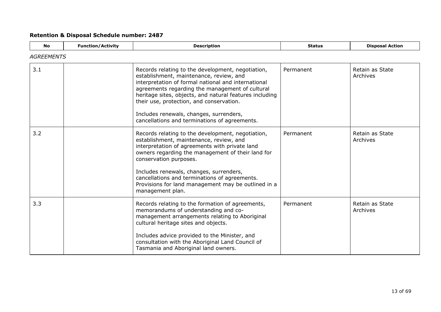| <b>No</b>         | <b>Function/Activity</b> | <b>Description</b>                                                                                                                                                                                                                                                                                                                                                                                        | <b>Status</b> | <b>Disposal Action</b>      |
|-------------------|--------------------------|-----------------------------------------------------------------------------------------------------------------------------------------------------------------------------------------------------------------------------------------------------------------------------------------------------------------------------------------------------------------------------------------------------------|---------------|-----------------------------|
| <b>AGREEMENTS</b> |                          |                                                                                                                                                                                                                                                                                                                                                                                                           |               |                             |
| 3.1               |                          | Records relating to the development, negotiation,<br>establishment, maintenance, review, and<br>interpretation of formal national and international<br>agreements regarding the management of cultural<br>heritage sites, objects, and natural features including<br>their use, protection, and conservation.<br>Includes renewals, changes, surrenders,<br>cancellations and terminations of agreements. | Permanent     | Retain as State<br>Archives |
| 3.2               |                          | Records relating to the development, negotiation,<br>establishment, maintenance, review, and<br>interpretation of agreements with private land<br>owners regarding the management of their land for<br>conservation purposes.<br>Includes renewals, changes, surrenders,<br>cancellations and terminations of agreements.<br>Provisions for land management may be outlined in a<br>management plan.      | Permanent     | Retain as State<br>Archives |
| 3.3               |                          | Records relating to the formation of agreements,<br>memorandums of understanding and co-<br>management arrangements relating to Aboriginal<br>cultural heritage sites and objects.<br>Includes advice provided to the Minister, and<br>consultation with the Aboriginal Land Council of<br>Tasmania and Aboriginal land owners.                                                                           | Permanent     | Retain as State<br>Archives |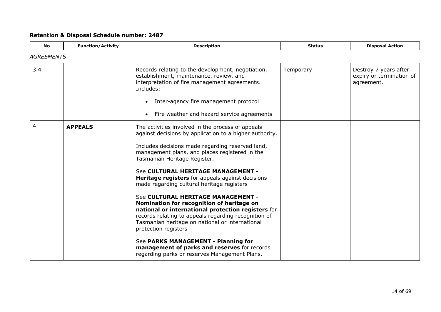<span id="page-13-0"></span>

| <b>No</b>         | <b>Function/Activity</b> | <b>Description</b>                                                                                                                                                                                                                                                                                                                                                                                                                                                                                                                                                                                                                                                                                                                                                                                                    | <b>Status</b> | <b>Disposal Action</b>                                          |
|-------------------|--------------------------|-----------------------------------------------------------------------------------------------------------------------------------------------------------------------------------------------------------------------------------------------------------------------------------------------------------------------------------------------------------------------------------------------------------------------------------------------------------------------------------------------------------------------------------------------------------------------------------------------------------------------------------------------------------------------------------------------------------------------------------------------------------------------------------------------------------------------|---------------|-----------------------------------------------------------------|
| <b>AGREEMENTS</b> |                          |                                                                                                                                                                                                                                                                                                                                                                                                                                                                                                                                                                                                                                                                                                                                                                                                                       |               |                                                                 |
| 3.4               |                          | Records relating to the development, negotiation,<br>establishment, maintenance, review, and<br>interpretation of fire management agreements.<br>Includes:<br>Inter-agency fire management protocol<br>$\bullet$                                                                                                                                                                                                                                                                                                                                                                                                                                                                                                                                                                                                      | Temporary     | Destroy 7 years after<br>expiry or termination of<br>agreement. |
|                   |                          | Fire weather and hazard service agreements                                                                                                                                                                                                                                                                                                                                                                                                                                                                                                                                                                                                                                                                                                                                                                            |               |                                                                 |
| 4                 | <b>APPEALS</b>           | The activities involved in the process of appeals<br>against decisions by application to a higher authority.<br>Includes decisions made regarding reserved land,<br>management plans, and places registered in the<br>Tasmanian Heritage Register.<br>See CULTURAL HERITAGE MANAGEMENT -<br><b>Heritage registers</b> for appeals against decisions<br>made regarding cultural heritage registers<br>See CULTURAL HERITAGE MANAGEMENT -<br>Nomination for recognition of heritage on<br>national or international protection registers for<br>records relating to appeals regarding recognition of<br>Tasmanian heritage on national or international<br>protection registers<br>See PARKS MANAGEMENT - Planning for<br>management of parks and reserves for records<br>regarding parks or reserves Management Plans. |               |                                                                 |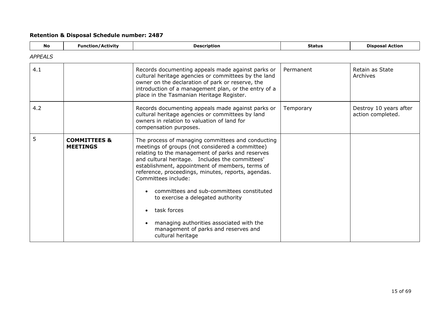<span id="page-14-0"></span>

| <b>No</b>      | <b>Function/Activity</b>                   | <b>Description</b>                                                                                                                                                                                                                                                                                                                                                                                                                                                                                                                                    | <b>Status</b> | <b>Disposal Action</b>                      |
|----------------|--------------------------------------------|-------------------------------------------------------------------------------------------------------------------------------------------------------------------------------------------------------------------------------------------------------------------------------------------------------------------------------------------------------------------------------------------------------------------------------------------------------------------------------------------------------------------------------------------------------|---------------|---------------------------------------------|
| <b>APPEALS</b> |                                            |                                                                                                                                                                                                                                                                                                                                                                                                                                                                                                                                                       |               |                                             |
| 4.1            |                                            | Records documenting appeals made against parks or<br>cultural heritage agencies or committees by the land<br>owner on the declaration of park or reserve, the<br>introduction of a management plan, or the entry of a<br>place in the Tasmanian Heritage Register.                                                                                                                                                                                                                                                                                    | Permanent     | Retain as State<br>Archives                 |
| 4.2            |                                            | Records documenting appeals made against parks or<br>cultural heritage agencies or committees by land<br>owners in relation to valuation of land for<br>compensation purposes.                                                                                                                                                                                                                                                                                                                                                                        | Temporary     | Destroy 10 years after<br>action completed. |
| 5              | <b>COMMITTEES &amp;</b><br><b>MEETINGS</b> | The process of managing committees and conducting<br>meetings of groups (not considered a committee)<br>relating to the management of parks and reserves<br>and cultural heritage. Includes the committees'<br>establishment, appointment of members, terms of<br>reference, proceedings, minutes, reports, agendas.<br>Committees include:<br>committees and sub-committees constituted<br>to exercise a delegated authority<br>task forces<br>managing authorities associated with the<br>management of parks and reserves and<br>cultural heritage |               |                                             |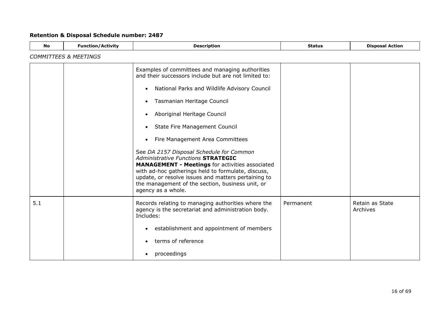| <b>No</b> | <b>Function/Activity</b>         | <b>Description</b>                                                                                                                                                                                                                                                                                                                                                                                                                                                                                                                                                                                                                                                               | <b>Status</b> | <b>Disposal Action</b>      |  |  |
|-----------|----------------------------------|----------------------------------------------------------------------------------------------------------------------------------------------------------------------------------------------------------------------------------------------------------------------------------------------------------------------------------------------------------------------------------------------------------------------------------------------------------------------------------------------------------------------------------------------------------------------------------------------------------------------------------------------------------------------------------|---------------|-----------------------------|--|--|
|           | <b>COMMITTEES &amp; MEETINGS</b> |                                                                                                                                                                                                                                                                                                                                                                                                                                                                                                                                                                                                                                                                                  |               |                             |  |  |
|           |                                  | Examples of committees and managing authorities<br>and their successors include but are not limited to:<br>National Parks and Wildlife Advisory Council<br>$\bullet$<br>Tasmanian Heritage Council<br>$\bullet$<br>Aboriginal Heritage Council<br><b>State Fire Management Council</b><br>$\bullet$<br>Fire Management Area Committees<br>See DA 2157 Disposal Schedule for Common<br><b>Administrative Functions STRATEGIC</b><br><b>MANAGEMENT - Meetings for activities associated</b><br>with ad-hoc gatherings held to formulate, discuss,<br>update, or resolve issues and matters pertaining to<br>the management of the section, business unit, or<br>agency as a whole. |               |                             |  |  |
| 5.1       |                                  | Records relating to managing authorities where the<br>agency is the secretariat and administration body.<br>Includes:<br>establishment and appointment of members<br>$\bullet$<br>terms of reference<br>proceedings<br>$\bullet$                                                                                                                                                                                                                                                                                                                                                                                                                                                 | Permanent     | Retain as State<br>Archives |  |  |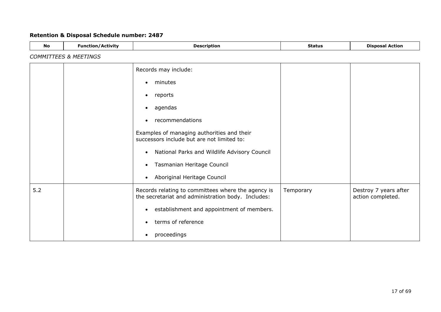| <b>No</b> | <b>Function/Activity</b>         | <b>Description</b>                                                                                       | <b>Status</b> | <b>Disposal Action</b>                     |
|-----------|----------------------------------|----------------------------------------------------------------------------------------------------------|---------------|--------------------------------------------|
|           | <b>COMMITTEES &amp; MEETINGS</b> |                                                                                                          |               |                                            |
|           |                                  | Records may include:                                                                                     |               |                                            |
|           |                                  | minutes<br>$\bullet$                                                                                     |               |                                            |
|           |                                  | reports<br>$\bullet$                                                                                     |               |                                            |
|           |                                  | agendas<br>$\bullet$                                                                                     |               |                                            |
|           |                                  | recommendations<br>$\bullet$                                                                             |               |                                            |
|           |                                  | Examples of managing authorities and their<br>successors include but are not limited to:                 |               |                                            |
|           |                                  | National Parks and Wildlife Advisory Council<br>$\bullet$                                                |               |                                            |
|           |                                  | Tasmanian Heritage Council<br>$\bullet$                                                                  |               |                                            |
|           |                                  | Aboriginal Heritage Council<br>$\bullet$                                                                 |               |                                            |
| $5.2$     |                                  | Records relating to committees where the agency is<br>the secretariat and administration body. Includes: | Temporary     | Destroy 7 years after<br>action completed. |
|           |                                  | establishment and appointment of members.                                                                |               |                                            |
|           |                                  | terms of reference                                                                                       |               |                                            |
|           |                                  | proceedings<br>$\bullet$                                                                                 |               |                                            |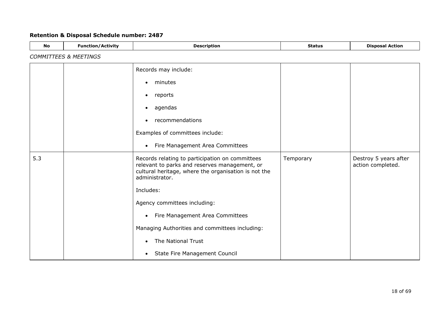| <b>No</b> | <b>Function/Activity</b>         | <b>Description</b>                                                                                                                                                         | <b>Status</b> | <b>Disposal Action</b>                     |  |  |
|-----------|----------------------------------|----------------------------------------------------------------------------------------------------------------------------------------------------------------------------|---------------|--------------------------------------------|--|--|
|           | <b>COMMITTEES &amp; MEETINGS</b> |                                                                                                                                                                            |               |                                            |  |  |
|           |                                  | Records may include:                                                                                                                                                       |               |                                            |  |  |
|           |                                  | minutes<br>٠                                                                                                                                                               |               |                                            |  |  |
|           |                                  | reports<br>$\bullet$                                                                                                                                                       |               |                                            |  |  |
|           |                                  | agendas<br>$\bullet$                                                                                                                                                       |               |                                            |  |  |
|           |                                  | recommendations                                                                                                                                                            |               |                                            |  |  |
|           |                                  | Examples of committees include:                                                                                                                                            |               |                                            |  |  |
|           |                                  | Fire Management Area Committees<br>$\bullet$                                                                                                                               |               |                                            |  |  |
| 5.3       |                                  | Records relating to participation on committees<br>relevant to parks and reserves management, or<br>cultural heritage, where the organisation is not the<br>administrator. | Temporary     | Destroy 5 years after<br>action completed. |  |  |
|           |                                  | Includes:                                                                                                                                                                  |               |                                            |  |  |
|           |                                  | Agency committees including:                                                                                                                                               |               |                                            |  |  |
|           |                                  | Fire Management Area Committees<br>$\bullet$                                                                                                                               |               |                                            |  |  |
|           |                                  | Managing Authorities and committees including:                                                                                                                             |               |                                            |  |  |
|           |                                  | The National Trust<br>$\bullet$                                                                                                                                            |               |                                            |  |  |
|           |                                  | State Fire Management Council<br>$\bullet$                                                                                                                                 |               |                                            |  |  |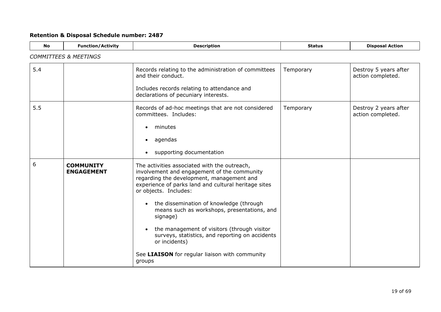| <b>Retention &amp; Disposal Schedule number: 2487</b> |  |  |  |  |  |
|-------------------------------------------------------|--|--|--|--|--|
|-------------------------------------------------------|--|--|--|--|--|

<span id="page-18-0"></span>

| <b>No</b> | <b>Function/Activity</b>              | <b>Description</b>                                                                                                                                                                                                        | <b>Status</b> | <b>Disposal Action</b>                     |  |  |  |
|-----------|---------------------------------------|---------------------------------------------------------------------------------------------------------------------------------------------------------------------------------------------------------------------------|---------------|--------------------------------------------|--|--|--|
|           | <b>COMMITTEES &amp; MEETINGS</b>      |                                                                                                                                                                                                                           |               |                                            |  |  |  |
| 5.4       |                                       | Records relating to the administration of committees<br>and their conduct.<br>Includes records relating to attendance and                                                                                                 | Temporary     | Destroy 5 years after<br>action completed. |  |  |  |
|           |                                       | declarations of pecuniary interests.                                                                                                                                                                                      |               |                                            |  |  |  |
| 5.5       |                                       | Records of ad-hoc meetings that are not considered<br>committees. Includes:                                                                                                                                               | Temporary     | Destroy 2 years after<br>action completed. |  |  |  |
|           |                                       | minutes<br>$\bullet$                                                                                                                                                                                                      |               |                                            |  |  |  |
|           |                                       | agendas                                                                                                                                                                                                                   |               |                                            |  |  |  |
|           |                                       | supporting documentation                                                                                                                                                                                                  |               |                                            |  |  |  |
| 6         | <b>COMMUNITY</b><br><b>ENGAGEMENT</b> | The activities associated with the outreach,<br>involvement and engagement of the community<br>regarding the development, management and<br>experience of parks land and cultural heritage sites<br>or objects. Includes: |               |                                            |  |  |  |
|           |                                       | the dissemination of knowledge (through<br>means such as workshops, presentations, and<br>signage)                                                                                                                        |               |                                            |  |  |  |
|           |                                       | the management of visitors (through visitor<br>surveys, statistics, and reporting on accidents<br>or incidents)                                                                                                           |               |                                            |  |  |  |
|           |                                       | See LIAISON for regular liaison with community<br>groups                                                                                                                                                                  |               |                                            |  |  |  |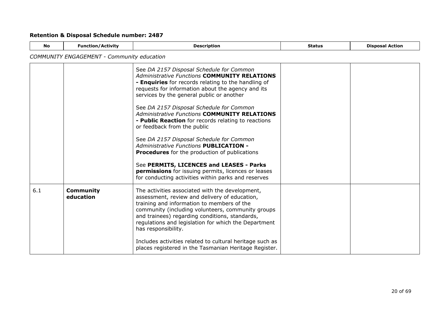| <b>No</b> | <b>Function/Activity</b>                          | <b>Description</b>                                                                                                                                                                                                                                                                                                                                                                                                                                                                                                                                                                                                                                                                                                                                               | <b>Status</b> | <b>Disposal Action</b> |
|-----------|---------------------------------------------------|------------------------------------------------------------------------------------------------------------------------------------------------------------------------------------------------------------------------------------------------------------------------------------------------------------------------------------------------------------------------------------------------------------------------------------------------------------------------------------------------------------------------------------------------------------------------------------------------------------------------------------------------------------------------------------------------------------------------------------------------------------------|---------------|------------------------|
|           | <b>COMMUNITY ENGAGEMENT - Community education</b> |                                                                                                                                                                                                                                                                                                                                                                                                                                                                                                                                                                                                                                                                                                                                                                  |               |                        |
|           |                                                   | See DA 2157 Disposal Schedule for Common<br><b>Administrative Functions COMMUNITY RELATIONS</b><br>- Enquiries for records relating to the handling of<br>requests for information about the agency and its<br>services by the general public or another<br>See DA 2157 Disposal Schedule for Common<br><b>Administrative Functions COMMUNITY RELATIONS</b><br>- Public Reaction for records relating to reactions<br>or feedback from the public<br>See DA 2157 Disposal Schedule for Common<br><b>Administrative Functions PUBLICATION -</b><br><b>Procedures</b> for the production of publications<br>See PERMITS, LICENCES and LEASES - Parks<br>permissions for issuing permits, licences or leases<br>for conducting activities within parks and reserves |               |                        |
| 6.1       | <b>Community</b><br>education                     | The activities associated with the development,<br>assessment, review and delivery of education,<br>training and information to members of the<br>community (including volunteers, community groups<br>and trainees) regarding conditions, standards,<br>regulations and legislation for which the Department<br>has responsibility.<br>Includes activities related to cultural heritage such as<br>places registered in the Tasmanian Heritage Register.                                                                                                                                                                                                                                                                                                        |               |                        |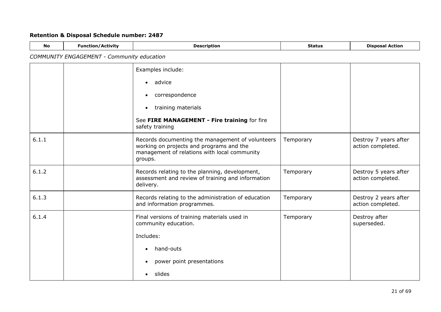| <b>No</b> | <b>Function/Activity</b>                          | <b>Description</b>                                                                                                                                      | <b>Status</b> | <b>Disposal Action</b>                     |
|-----------|---------------------------------------------------|---------------------------------------------------------------------------------------------------------------------------------------------------------|---------------|--------------------------------------------|
|           | <b>COMMUNITY ENGAGEMENT - Community education</b> |                                                                                                                                                         |               |                                            |
|           |                                                   | Examples include:                                                                                                                                       |               |                                            |
|           |                                                   | advice<br>$\bullet$                                                                                                                                     |               |                                            |
|           |                                                   | correspondence<br>$\bullet$                                                                                                                             |               |                                            |
|           |                                                   | training materials<br>$\bullet$                                                                                                                         |               |                                            |
|           |                                                   | See FIRE MANAGEMENT - Fire training for fire<br>safety training                                                                                         |               |                                            |
| 6.1.1     |                                                   | Records documenting the management of volunteers<br>working on projects and programs and the<br>management of relations with local community<br>groups. | Temporary     | Destroy 7 years after<br>action completed. |
| 6.1.2     |                                                   | Records relating to the planning, development,<br>assessment and review of training and information<br>delivery.                                        | Temporary     | Destroy 5 years after<br>action completed. |
| 6.1.3     |                                                   | Records relating to the administration of education<br>and information programmes.                                                                      | Temporary     | Destroy 2 years after<br>action completed. |
| 6.1.4     |                                                   | Final versions of training materials used in<br>community education.<br>Includes:                                                                       | Temporary     | Destroy after<br>superseded.               |
|           |                                                   | hand-outs<br>$\bullet$                                                                                                                                  |               |                                            |
|           |                                                   | power point presentations<br>$\bullet$                                                                                                                  |               |                                            |
|           |                                                   | slides<br>$\bullet$                                                                                                                                     |               |                                            |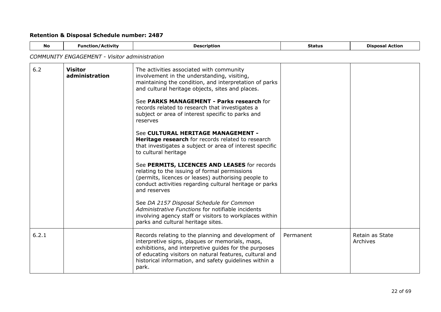| No    | <b>Function/Activity</b>                             | <b>Description</b>                                                                                                                                                                                                                                                                                    | <b>Status</b> | <b>Disposal Action</b>      |  |  |
|-------|------------------------------------------------------|-------------------------------------------------------------------------------------------------------------------------------------------------------------------------------------------------------------------------------------------------------------------------------------------------------|---------------|-----------------------------|--|--|
|       | <b>COMMUNITY ENGAGEMENT - Visitor administration</b> |                                                                                                                                                                                                                                                                                                       |               |                             |  |  |
| 6.2   | <b>Visitor</b><br>administration                     | The activities associated with community<br>involvement in the understanding, visiting,<br>maintaining the condition, and interpretation of parks<br>and cultural heritage objects, sites and places.<br>See PARKS MANAGEMENT - Parks research for<br>records related to research that investigates a |               |                             |  |  |
|       |                                                      | subject or area of interest specific to parks and<br>reserves                                                                                                                                                                                                                                         |               |                             |  |  |
|       |                                                      | See CULTURAL HERITAGE MANAGEMENT -<br>Heritage research for records related to research<br>that investigates a subject or area of interest specific<br>to cultural heritage                                                                                                                           |               |                             |  |  |
|       |                                                      | See PERMITS, LICENCES AND LEASES for records<br>relating to the issuing of formal permissions<br>(permits, licences or leases) authorising people to<br>conduct activities regarding cultural heritage or parks<br>and reserves                                                                       |               |                             |  |  |
|       |                                                      | See DA 2157 Disposal Schedule for Common<br>Administrative Functions for notifiable incidents<br>involving agency staff or visitors to workplaces within<br>parks and cultural heritage sites.                                                                                                        |               |                             |  |  |
| 6.2.1 |                                                      | Records relating to the planning and development of<br>interpretive signs, plaques or memorials, maps,<br>exhibitions, and interpretive guides for the purposes<br>of educating visitors on natural features, cultural and<br>historical information, and safety guidelines within a<br>park.         | Permanent     | Retain as State<br>Archives |  |  |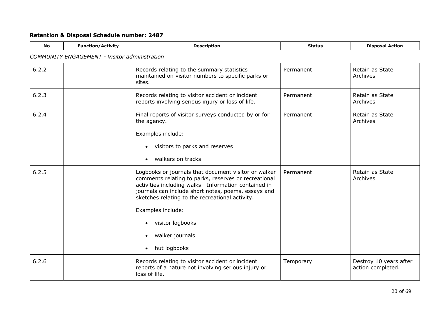| <b>No</b> | <b>Function/Activity</b>                             | <b>Description</b>                                                                                                                                                                                                                                                                                                                                                           | <b>Status</b> | <b>Disposal Action</b>                      |  |  |
|-----------|------------------------------------------------------|------------------------------------------------------------------------------------------------------------------------------------------------------------------------------------------------------------------------------------------------------------------------------------------------------------------------------------------------------------------------------|---------------|---------------------------------------------|--|--|
|           | <b>COMMUNITY ENGAGEMENT - Visitor administration</b> |                                                                                                                                                                                                                                                                                                                                                                              |               |                                             |  |  |
| 6.2.2     |                                                      | Records relating to the summary statistics<br>maintained on visitor numbers to specific parks or<br>sites.                                                                                                                                                                                                                                                                   | Permanent     | Retain as State<br>Archives                 |  |  |
| 6.2.3     |                                                      | Records relating to visitor accident or incident<br>reports involving serious injury or loss of life.                                                                                                                                                                                                                                                                        | Permanent     | Retain as State<br>Archives                 |  |  |
| 6.2.4     |                                                      | Final reports of visitor surveys conducted by or for<br>the agency.<br>Examples include:<br>visitors to parks and reserves<br>$\bullet$<br>walkers on tracks<br>$\bullet$                                                                                                                                                                                                    | Permanent     | Retain as State<br>Archives                 |  |  |
| 6.2.5     |                                                      | Logbooks or journals that document visitor or walker<br>comments relating to parks, reserves or recreational<br>activities including walks. Information contained in<br>journals can include short notes, poems, essays and<br>sketches relating to the recreational activity.<br>Examples include:<br>visitor logbooks<br>walker journals<br>٠<br>hut logbooks<br>$\bullet$ | Permanent     | Retain as State<br>Archives                 |  |  |
| 6.2.6     |                                                      | Records relating to visitor accident or incident<br>reports of a nature not involving serious injury or<br>loss of life.                                                                                                                                                                                                                                                     | Temporary     | Destroy 10 years after<br>action completed. |  |  |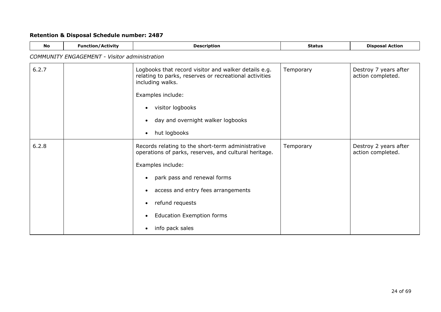| <b>No</b> | <b>Function/Activity</b>                             | <b>Description</b>                                                                                                                                                                                                                            | <b>Status</b> | <b>Disposal Action</b>                     |  |  |
|-----------|------------------------------------------------------|-----------------------------------------------------------------------------------------------------------------------------------------------------------------------------------------------------------------------------------------------|---------------|--------------------------------------------|--|--|
|           | <b>COMMUNITY ENGAGEMENT - Visitor administration</b> |                                                                                                                                                                                                                                               |               |                                            |  |  |
| 6.2.7     |                                                      | Logbooks that record visitor and walker details e.g.<br>relating to parks, reserves or recreational activities<br>including walks.<br>Examples include:<br>visitor logbooks<br>day and overnight walker logbooks<br>hut logbooks<br>$\bullet$ | Temporary     | Destroy 7 years after<br>action completed. |  |  |
| 6.2.8     |                                                      | Records relating to the short-term administrative<br>operations of parks, reserves, and cultural heritage.                                                                                                                                    | Temporary     | Destroy 2 years after<br>action completed. |  |  |
|           |                                                      | Examples include:<br>park pass and renewal forms<br>$\bullet$<br>access and entry fees arrangements<br>refund requests<br><b>Education Exemption forms</b><br>info pack sales<br>$\bullet$                                                    |               |                                            |  |  |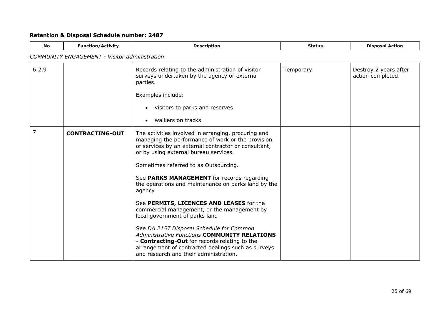<span id="page-24-0"></span>

| No    | <b>Function/Activity</b>                             | <b>Description</b>                                                                                                                                                                                                                                                                                                                                                | <b>Status</b> | <b>Disposal Action</b>                     |  |  |
|-------|------------------------------------------------------|-------------------------------------------------------------------------------------------------------------------------------------------------------------------------------------------------------------------------------------------------------------------------------------------------------------------------------------------------------------------|---------------|--------------------------------------------|--|--|
|       | <b>COMMUNITY ENGAGEMENT - Visitor administration</b> |                                                                                                                                                                                                                                                                                                                                                                   |               |                                            |  |  |
| 6.2.9 |                                                      | Records relating to the administration of visitor<br>surveys undertaken by the agency or external<br>parties.                                                                                                                                                                                                                                                     | Temporary     | Destroy 2 years after<br>action completed. |  |  |
|       |                                                      | Examples include:                                                                                                                                                                                                                                                                                                                                                 |               |                                            |  |  |
|       |                                                      | visitors to parks and reserves                                                                                                                                                                                                                                                                                                                                    |               |                                            |  |  |
|       |                                                      | walkers on tracks                                                                                                                                                                                                                                                                                                                                                 |               |                                            |  |  |
| 7     | <b>CONTRACTING-OUT</b>                               | The activities involved in arranging, procuring and<br>managing the performance of work or the provision<br>of services by an external contractor or consultant,<br>or by using external bureau services.<br>Sometimes referred to as Outsourcing.<br>See PARKS MANAGEMENT for records regarding<br>the operations and maintenance on parks land by the<br>agency |               |                                            |  |  |
|       |                                                      | See PERMITS, LICENCES AND LEASES for the<br>commercial management, or the management by<br>local government of parks land                                                                                                                                                                                                                                         |               |                                            |  |  |
|       |                                                      | See DA 2157 Disposal Schedule for Common<br><b>Administrative Functions COMMUNITY RELATIONS</b><br>- Contracting-Out for records relating to the<br>arrangement of contracted dealings such as surveys<br>and research and their administration.                                                                                                                  |               |                                            |  |  |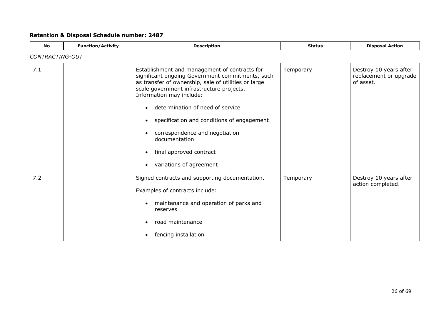| <b>No</b> | <b>Function/Activity</b> | <b>Description</b>                                                                                                                                                                                                                                                                                                                                                                                                            | <b>Status</b> | <b>Disposal Action</b>                                        |  |  |
|-----------|--------------------------|-------------------------------------------------------------------------------------------------------------------------------------------------------------------------------------------------------------------------------------------------------------------------------------------------------------------------------------------------------------------------------------------------------------------------------|---------------|---------------------------------------------------------------|--|--|
|           | CONTRACTING-OUT          |                                                                                                                                                                                                                                                                                                                                                                                                                               |               |                                                               |  |  |
| 7.1       |                          | Establishment and management of contracts for<br>significant ongoing Government commitments, such<br>as transfer of ownership, sale of utilities or large<br>scale government infrastructure projects.<br>Information may include:<br>determination of need of service<br>specification and conditions of engagement<br>correspondence and negotiation<br>documentation<br>final approved contract<br>variations of agreement | Temporary     | Destroy 10 years after<br>replacement or upgrade<br>of asset. |  |  |
| 7.2       |                          | Signed contracts and supporting documentation.<br>Examples of contracts include:<br>maintenance and operation of parks and<br>reserves<br>road maintenance<br>fencing installation<br>$\bullet$                                                                                                                                                                                                                               | Temporary     | Destroy 10 years after<br>action completed.                   |  |  |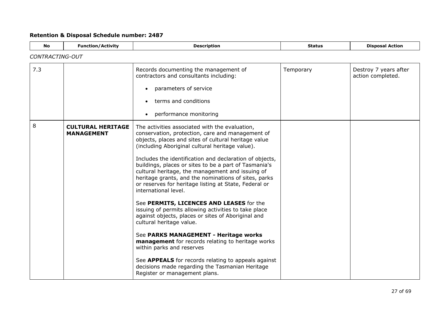<span id="page-26-0"></span>

| <b>No</b>       | <b>Function/Activity</b>                      | <b>Description</b>                                                                                                                                                                                                                                                                                            | <b>Status</b> | <b>Disposal Action</b>                     |
|-----------------|-----------------------------------------------|---------------------------------------------------------------------------------------------------------------------------------------------------------------------------------------------------------------------------------------------------------------------------------------------------------------|---------------|--------------------------------------------|
| CONTRACTING-OUT |                                               |                                                                                                                                                                                                                                                                                                               |               |                                            |
| 7.3             |                                               | Records documenting the management of<br>contractors and consultants including:<br>parameters of service<br>terms and conditions<br>performance monitoring                                                                                                                                                    | Temporary     | Destroy 7 years after<br>action completed. |
| 8               |                                               |                                                                                                                                                                                                                                                                                                               |               |                                            |
|                 | <b>CULTURAL HERITAGE</b><br><b>MANAGEMENT</b> | The activities associated with the evaluation,<br>conservation, protection, care and management of<br>objects, places and sites of cultural heritage value<br>(including Aboriginal cultural heritage value).                                                                                                 |               |                                            |
|                 |                                               | Includes the identification and declaration of objects,<br>buildings, places or sites to be a part of Tasmania's<br>cultural heritage, the management and issuing of<br>heritage grants, and the nominations of sites, parks<br>or reserves for heritage listing at State, Federal or<br>international level. |               |                                            |
|                 |                                               | See PERMITS, LICENCES AND LEASES for the<br>issuing of permits allowing activities to take place<br>against objects, places or sites of Aboriginal and<br>cultural heritage value.                                                                                                                            |               |                                            |
|                 |                                               | See PARKS MANAGEMENT - Heritage works<br>management for records relating to heritage works<br>within parks and reserves                                                                                                                                                                                       |               |                                            |
|                 |                                               | See APPEALS for records relating to appeals against<br>decisions made regarding the Tasmanian Heritage<br>Register or management plans.                                                                                                                                                                       |               |                                            |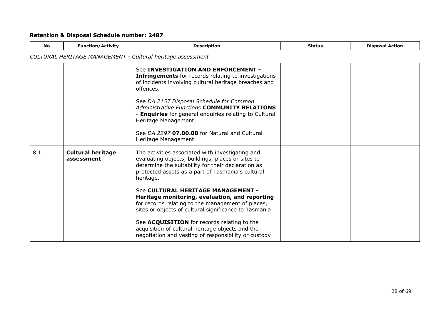| <b>No</b>                                                   | <b>Function/Activity</b>               | <b>Description</b>                                                                                                                                                                                                                                                                                                                                                                                                                                                                                                                                                                             | <b>Status</b> | <b>Disposal Action</b> |  |
|-------------------------------------------------------------|----------------------------------------|------------------------------------------------------------------------------------------------------------------------------------------------------------------------------------------------------------------------------------------------------------------------------------------------------------------------------------------------------------------------------------------------------------------------------------------------------------------------------------------------------------------------------------------------------------------------------------------------|---------------|------------------------|--|
| CULTURAL HERITAGE MANAGEMENT - Cultural heritage assessment |                                        |                                                                                                                                                                                                                                                                                                                                                                                                                                                                                                                                                                                                |               |                        |  |
|                                                             |                                        | See INVESTIGATION AND ENFORCEMENT -<br><b>Infringements</b> for records relating to investigations<br>of incidents involving cultural heritage breaches and<br>offences.<br>See DA 2157 Disposal Schedule for Common<br><b>Administrative Functions COMMUNITY RELATIONS</b><br>- Enquiries for general enquiries relating to Cultural<br>Heritage Management.<br>See DA 2297 07.00.00 for Natural and Cultural<br>Heritage Management                                                                                                                                                          |               |                        |  |
| 8.1                                                         | <b>Cultural heritage</b><br>assessment | The activities associated with investigating and<br>evaluating objects, buildings, places or sites to<br>determine the suitability for their declaration as<br>protected assets as a part of Tasmania's cultural<br>heritage.<br>See CULTURAL HERITAGE MANAGEMENT -<br>Heritage monitoring, evaluation, and reporting<br>for records relating to the management of places,<br>sites or objects of cultural significance to Tasmania<br>See ACQUISITION for records relating to the<br>acquisition of cultural heritage objects and the<br>negotiation and vesting of responsibility or custody |               |                        |  |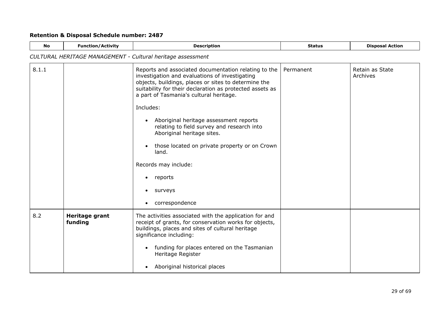| <b>No</b> | <b>Function/Activity</b>                                    | <b>Description</b>                                                                                                                                                                                                                                                                                                                                                                                                                                                                                                                                           | <b>Status</b> | <b>Disposal Action</b>      |  |  |
|-----------|-------------------------------------------------------------|--------------------------------------------------------------------------------------------------------------------------------------------------------------------------------------------------------------------------------------------------------------------------------------------------------------------------------------------------------------------------------------------------------------------------------------------------------------------------------------------------------------------------------------------------------------|---------------|-----------------------------|--|--|
|           | CULTURAL HERITAGE MANAGEMENT - Cultural heritage assessment |                                                                                                                                                                                                                                                                                                                                                                                                                                                                                                                                                              |               |                             |  |  |
| 8.1.1     |                                                             | Reports and associated documentation relating to the<br>investigation and evaluations of investigating<br>objects, buildings, places or sites to determine the<br>suitability for their declaration as protected assets as<br>a part of Tasmania's cultural heritage.<br>Includes:<br>Aboriginal heritage assessment reports<br>$\bullet$<br>relating to field survey and research into<br>Aboriginal heritage sites.<br>those located on private property or on Crown<br>land.<br>Records may include:<br>reports<br>$\bullet$<br>surveys<br>correspondence | Permanent     | Retain as State<br>Archives |  |  |
| 8.2       | Heritage grant<br>funding                                   | The activities associated with the application for and<br>receipt of grants, for conservation works for objects,<br>buildings, places and sites of cultural heritage<br>significance including:<br>funding for places entered on the Tasmanian<br>$\bullet$<br>Heritage Register<br>Aboriginal historical places<br>$\bullet$                                                                                                                                                                                                                                |               |                             |  |  |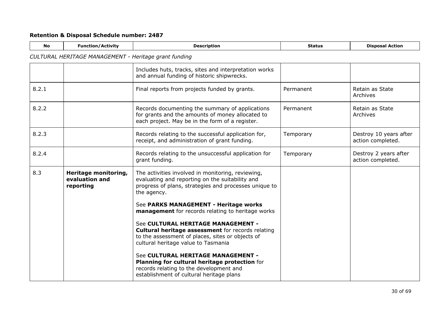| <b>No</b> | <b>Function/Activity</b>                              | <b>Description</b>                                                                                                                                                                        | <b>Status</b> | <b>Disposal Action</b>                      |  |  |
|-----------|-------------------------------------------------------|-------------------------------------------------------------------------------------------------------------------------------------------------------------------------------------------|---------------|---------------------------------------------|--|--|
|           | CULTURAL HERITAGE MANAGEMENT - Heritage grant funding |                                                                                                                                                                                           |               |                                             |  |  |
|           |                                                       | Includes huts, tracks, sites and interpretation works<br>and annual funding of historic shipwrecks.                                                                                       |               |                                             |  |  |
| 8.2.1     |                                                       | Final reports from projects funded by grants.                                                                                                                                             | Permanent     | Retain as State<br>Archives                 |  |  |
| 8.2.2     |                                                       | Records documenting the summary of applications<br>for grants and the amounts of money allocated to<br>each project. May be in the form of a register.                                    | Permanent     | Retain as State<br>Archives                 |  |  |
| 8.2.3     |                                                       | Records relating to the successful application for,<br>receipt, and administration of grant funding.                                                                                      | Temporary     | Destroy 10 years after<br>action completed. |  |  |
| 8.2.4     |                                                       | Records relating to the unsuccessful application for<br>grant funding.                                                                                                                    | Temporary     | Destroy 2 years after<br>action completed.  |  |  |
| 8.3       | Heritage monitoring,<br>evaluation and<br>reporting   | The activities involved in monitoring, reviewing,<br>evaluating and reporting on the suitability and<br>progress of plans, strategies and processes unique to<br>the agency.              |               |                                             |  |  |
|           |                                                       | See PARKS MANAGEMENT - Heritage works<br>management for records relating to heritage works                                                                                                |               |                                             |  |  |
|           |                                                       | See CULTURAL HERITAGE MANAGEMENT -<br><b>Cultural heritage assessment for records relating</b><br>to the assessment of places, sites or objects of<br>cultural heritage value to Tasmania |               |                                             |  |  |
|           |                                                       | See CULTURAL HERITAGE MANAGEMENT -<br>Planning for cultural heritage protection for<br>records relating to the development and<br>establishment of cultural heritage plans                |               |                                             |  |  |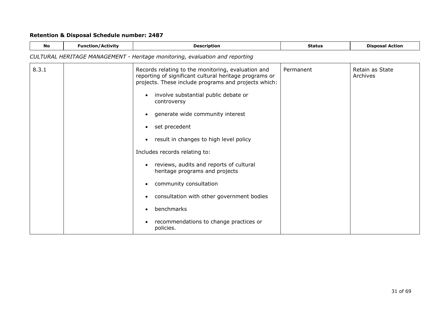| <b>No</b> | <b>Function/Activity</b>                                                     | <b>Description</b>                                                                                                                                                   | <b>Status</b> | <b>Disposal Action</b>      |  |  |  |
|-----------|------------------------------------------------------------------------------|----------------------------------------------------------------------------------------------------------------------------------------------------------------------|---------------|-----------------------------|--|--|--|
|           | CULTURAL HERITAGE MANAGEMENT - Heritage monitoring, evaluation and reporting |                                                                                                                                                                      |               |                             |  |  |  |
| 8.3.1     |                                                                              | Records relating to the monitoring, evaluation and<br>reporting of significant cultural heritage programs or<br>projects. These include programs and projects which: | Permanent     | Retain as State<br>Archives |  |  |  |
|           |                                                                              | involve substantial public debate or<br>controversy                                                                                                                  |               |                             |  |  |  |
|           |                                                                              | generate wide community interest<br>$\bullet$                                                                                                                        |               |                             |  |  |  |
|           |                                                                              | set precedent<br>$\bullet$                                                                                                                                           |               |                             |  |  |  |
|           |                                                                              | result in changes to high level policy<br>٠                                                                                                                          |               |                             |  |  |  |
|           |                                                                              | Includes records relating to:                                                                                                                                        |               |                             |  |  |  |
|           |                                                                              | reviews, audits and reports of cultural<br>heritage programs and projects                                                                                            |               |                             |  |  |  |
|           |                                                                              | community consultation                                                                                                                                               |               |                             |  |  |  |
|           |                                                                              | consultation with other government bodies<br>$\bullet$                                                                                                               |               |                             |  |  |  |
|           |                                                                              | benchmarks                                                                                                                                                           |               |                             |  |  |  |
|           |                                                                              | recommendations to change practices or<br>policies.                                                                                                                  |               |                             |  |  |  |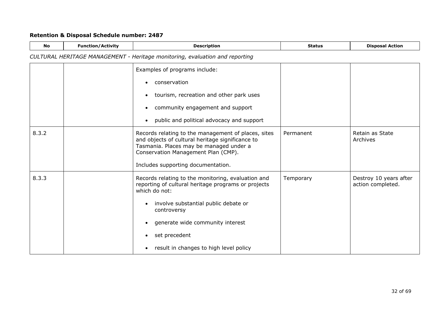| <b>No</b> | <b>Function/Activity</b>                                                     | <b>Description</b>                                                                                                                                                                        | <b>Status</b> | <b>Disposal Action</b>                      |  |  |
|-----------|------------------------------------------------------------------------------|-------------------------------------------------------------------------------------------------------------------------------------------------------------------------------------------|---------------|---------------------------------------------|--|--|
|           | CULTURAL HERITAGE MANAGEMENT - Heritage monitoring, evaluation and reporting |                                                                                                                                                                                           |               |                                             |  |  |
|           |                                                                              | Examples of programs include:                                                                                                                                                             |               |                                             |  |  |
|           |                                                                              | conservation                                                                                                                                                                              |               |                                             |  |  |
|           |                                                                              | tourism, recreation and other park uses                                                                                                                                                   |               |                                             |  |  |
|           |                                                                              | community engagement and support                                                                                                                                                          |               |                                             |  |  |
|           |                                                                              | public and political advocacy and support<br>$\bullet$                                                                                                                                    |               |                                             |  |  |
| 8.3.2     |                                                                              | Records relating to the management of places, sites<br>and objects of cultural heritage significance to<br>Tasmania. Places may be managed under a<br>Conservation Management Plan (CMP). | Permanent     | Retain as State<br>Archives                 |  |  |
|           |                                                                              | Includes supporting documentation.                                                                                                                                                        |               |                                             |  |  |
| 8.3.3     |                                                                              | Records relating to the monitoring, evaluation and<br>reporting of cultural heritage programs or projects<br>which do not:                                                                | Temporary     | Destroy 10 years after<br>action completed. |  |  |
|           |                                                                              | involve substantial public debate or<br>$\bullet$<br>controversy                                                                                                                          |               |                                             |  |  |
|           |                                                                              | generate wide community interest                                                                                                                                                          |               |                                             |  |  |
|           |                                                                              | set precedent                                                                                                                                                                             |               |                                             |  |  |
|           |                                                                              | result in changes to high level policy<br>$\bullet$                                                                                                                                       |               |                                             |  |  |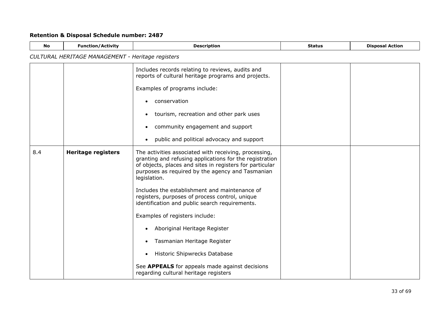| <b>No</b> | <b>Function/Activity</b>                          | <b>Description</b>                                                                                                                                                                                                                               | <b>Status</b> | <b>Disposal Action</b> |  |  |
|-----------|---------------------------------------------------|--------------------------------------------------------------------------------------------------------------------------------------------------------------------------------------------------------------------------------------------------|---------------|------------------------|--|--|
|           | CULTURAL HERITAGE MANAGEMENT - Heritage registers |                                                                                                                                                                                                                                                  |               |                        |  |  |
|           |                                                   | Includes records relating to reviews, audits and<br>reports of cultural heritage programs and projects.                                                                                                                                          |               |                        |  |  |
|           |                                                   | Examples of programs include:                                                                                                                                                                                                                    |               |                        |  |  |
|           |                                                   | conservation                                                                                                                                                                                                                                     |               |                        |  |  |
|           |                                                   | tourism, recreation and other park uses                                                                                                                                                                                                          |               |                        |  |  |
|           |                                                   | community engagement and support                                                                                                                                                                                                                 |               |                        |  |  |
|           |                                                   | public and political advocacy and support<br>$\bullet$                                                                                                                                                                                           |               |                        |  |  |
| 8.4       | <b>Heritage registers</b>                         | The activities associated with receiving, processing,<br>granting and refusing applications for the registration<br>of objects, places and sites in registers for particular<br>purposes as required by the agency and Tasmanian<br>legislation. |               |                        |  |  |
|           |                                                   | Includes the establishment and maintenance of<br>registers, purposes of process control, unique<br>identification and public search requirements.                                                                                                |               |                        |  |  |
|           |                                                   | Examples of registers include:                                                                                                                                                                                                                   |               |                        |  |  |
|           |                                                   | Aboriginal Heritage Register<br>٠                                                                                                                                                                                                                |               |                        |  |  |
|           |                                                   | Tasmanian Heritage Register<br>٠                                                                                                                                                                                                                 |               |                        |  |  |
|           |                                                   | <b>Historic Shipwrecks Database</b><br>$\bullet$                                                                                                                                                                                                 |               |                        |  |  |
|           |                                                   | See APPEALS for appeals made against decisions<br>regarding cultural heritage registers                                                                                                                                                          |               |                        |  |  |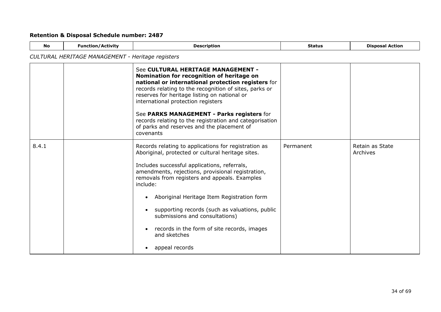| <b>No</b> | <b>Function/Activity</b>                          | <b>Description</b>                                                                                                                                                                                                                                                                                                                                                                                                                                                                             | <b>Status</b> | <b>Disposal Action</b>      |  |  |
|-----------|---------------------------------------------------|------------------------------------------------------------------------------------------------------------------------------------------------------------------------------------------------------------------------------------------------------------------------------------------------------------------------------------------------------------------------------------------------------------------------------------------------------------------------------------------------|---------------|-----------------------------|--|--|
|           | CULTURAL HERITAGE MANAGEMENT - Heritage registers |                                                                                                                                                                                                                                                                                                                                                                                                                                                                                                |               |                             |  |  |
|           |                                                   | See CULTURAL HERITAGE MANAGEMENT -<br>Nomination for recognition of heritage on<br>national or international protection registers for<br>records relating to the recognition of sites, parks or<br>reserves for heritage listing on national or<br>international protection registers<br>See PARKS MANAGEMENT - Parks registers for<br>records relating to the registration and categorisation<br>of parks and reserves and the placement of<br>covenants                                      |               |                             |  |  |
| 8.4.1     |                                                   | Records relating to applications for registration as<br>Aboriginal, protected or cultural heritage sites.<br>Includes successful applications, referrals,<br>amendments, rejections, provisional registration,<br>removals from registers and appeals. Examples<br>include:<br>Aboriginal Heritage Item Registration form<br>supporting records (such as valuations, public<br>submissions and consultations)<br>records in the form of site records, images<br>and sketches<br>appeal records | Permanent     | Retain as State<br>Archives |  |  |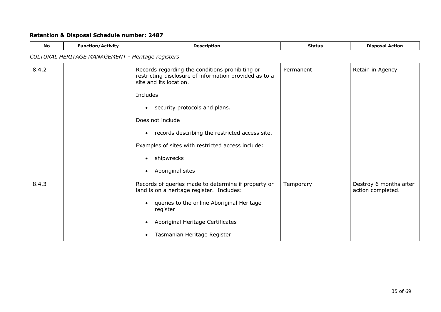| No    | <b>Function/Activity</b>                          | <b>Description</b>                                                                                                                  | <b>Status</b> | <b>Disposal Action</b>                      |  |  |
|-------|---------------------------------------------------|-------------------------------------------------------------------------------------------------------------------------------------|---------------|---------------------------------------------|--|--|
|       | CULTURAL HERITAGE MANAGEMENT - Heritage registers |                                                                                                                                     |               |                                             |  |  |
| 8.4.2 |                                                   | Records regarding the conditions prohibiting or<br>restricting disclosure of information provided as to a<br>site and its location. | Permanent     | Retain in Agency                            |  |  |
|       |                                                   | Includes                                                                                                                            |               |                                             |  |  |
|       |                                                   | security protocols and plans.<br>$\bullet$                                                                                          |               |                                             |  |  |
|       |                                                   | Does not include                                                                                                                    |               |                                             |  |  |
|       |                                                   | records describing the restricted access site.<br>$\bullet$                                                                         |               |                                             |  |  |
|       |                                                   | Examples of sites with restricted access include:                                                                                   |               |                                             |  |  |
|       |                                                   | shipwrecks<br>$\bullet$                                                                                                             |               |                                             |  |  |
|       |                                                   | Aboriginal sites<br>$\bullet$                                                                                                       |               |                                             |  |  |
| 8.4.3 |                                                   | Records of queries made to determine if property or<br>land is on a heritage register. Includes:                                    | Temporary     | Destroy 6 months after<br>action completed. |  |  |
|       |                                                   | queries to the online Aboriginal Heritage<br>register                                                                               |               |                                             |  |  |
|       |                                                   | Aboriginal Heritage Certificates                                                                                                    |               |                                             |  |  |
|       |                                                   | Tasmanian Heritage Register<br>٠                                                                                                    |               |                                             |  |  |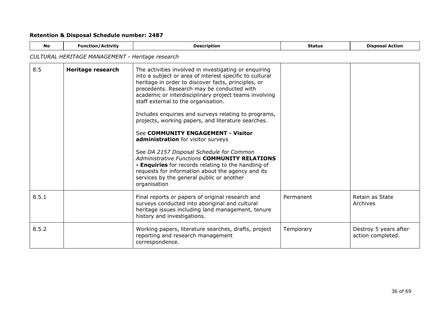| <b>No</b> | <b>Function/Activity</b>                         | <b>Description</b>                                                                                                                                                                                                                                                                                                                                                                                                                                                                                                                                                                                                                                                                                                                                                                          | <b>Status</b> | <b>Disposal Action</b>                     |  |  |
|-----------|--------------------------------------------------|---------------------------------------------------------------------------------------------------------------------------------------------------------------------------------------------------------------------------------------------------------------------------------------------------------------------------------------------------------------------------------------------------------------------------------------------------------------------------------------------------------------------------------------------------------------------------------------------------------------------------------------------------------------------------------------------------------------------------------------------------------------------------------------------|---------------|--------------------------------------------|--|--|
|           | CULTURAL HERITAGE MANAGEMENT - Heritage research |                                                                                                                                                                                                                                                                                                                                                                                                                                                                                                                                                                                                                                                                                                                                                                                             |               |                                            |  |  |
| 8.5       | Heritage research                                | The activities involved in investigating or enquiring<br>into a subject or area of interest specific to cultural<br>heritage in order to discover facts, principles, or<br>precedents. Research may be conducted with<br>academic or interdisciplinary project teams involving<br>staff external to the organisation.<br>Includes enquiries and surveys relating to programs,<br>projects, working papers, and literature searches.<br>See COMMUNITY ENGAGEMENT - Visitor<br>administration for visitor surveys<br>See DA 2157 Disposal Schedule for Common<br><b>Administrative Functions COMMUNITY RELATIONS</b><br>- Enquiries for records relating to the handling of<br>requests for information about the agency and its<br>services by the general public or another<br>organisation |               |                                            |  |  |
| 8.5.1     |                                                  | Final reports or papers of original research and<br>surveys conducted into aboriginal and cultural<br>heritage issues including land management, tenure<br>history and investigations.                                                                                                                                                                                                                                                                                                                                                                                                                                                                                                                                                                                                      | Permanent     | Retain as State<br>Archives                |  |  |
| 8.5.2     |                                                  | Working papers, literature searches, drafts, project<br>reporting and research management<br>correspondence.                                                                                                                                                                                                                                                                                                                                                                                                                                                                                                                                                                                                                                                                                | Temporary     | Destroy 5 years after<br>action completed. |  |  |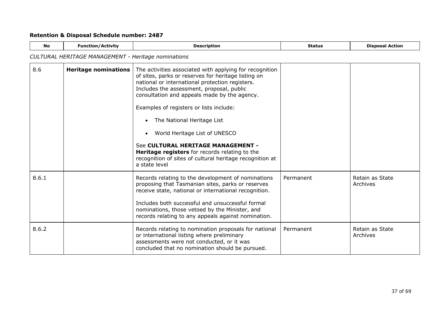| <b>No</b> | <b>Function/Activity</b>                            | <b>Description</b>                                                                                                                                                                                                                                                                                                                                                                                                                                                                                                                                                | <b>Status</b> | <b>Disposal Action</b>      |  |  |
|-----------|-----------------------------------------------------|-------------------------------------------------------------------------------------------------------------------------------------------------------------------------------------------------------------------------------------------------------------------------------------------------------------------------------------------------------------------------------------------------------------------------------------------------------------------------------------------------------------------------------------------------------------------|---------------|-----------------------------|--|--|
|           | CULTURAL HERITAGE MANAGEMENT - Heritage nominations |                                                                                                                                                                                                                                                                                                                                                                                                                                                                                                                                                                   |               |                             |  |  |
| 8.6       | <b>Heritage nominations</b>                         | The activities associated with applying for recognition<br>of sites, parks or reserves for heritage listing on<br>national or international protection registers.<br>Includes the assessment, proposal, public<br>consultation and appeals made by the agency.<br>Examples of registers or lists include:<br>The National Heritage List<br>$\bullet$<br>World Heritage List of UNESCO<br>See CULTURAL HERITAGE MANAGEMENT -<br><b>Heritage registers</b> for records relating to the<br>recognition of sites of cultural heritage recognition at<br>a state level |               |                             |  |  |
| 8.6.1     |                                                     | Records relating to the development of nominations<br>proposing that Tasmanian sites, parks or reserves<br>receive state, national or international recognition.<br>Includes both successful and unsuccessful formal<br>nominations, those vetoed by the Minister, and<br>records relating to any appeals against nomination.                                                                                                                                                                                                                                     | Permanent     | Retain as State<br>Archives |  |  |
| 8.6.2     |                                                     | Records relating to nomination proposals for national<br>or international listing where preliminary<br>assessments were not conducted, or it was<br>concluded that no nomination should be pursued.                                                                                                                                                                                                                                                                                                                                                               | Permanent     | Retain as State<br>Archives |  |  |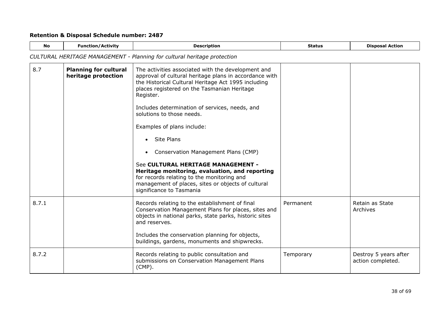| <b>No</b> | <b>Function/Activity</b>                            | <b>Description</b>                                                                                                                                                                                                              | <b>Status</b> | <b>Disposal Action</b>                     |
|-----------|-----------------------------------------------------|---------------------------------------------------------------------------------------------------------------------------------------------------------------------------------------------------------------------------------|---------------|--------------------------------------------|
|           |                                                     | CULTURAL HERITAGE MANAGEMENT - Planning for cultural heritage protection                                                                                                                                                        |               |                                            |
| 8.7       | <b>Planning for cultural</b><br>heritage protection | The activities associated with the development and<br>approval of cultural heritage plans in accordance with<br>the Historical Cultural Heritage Act 1995 including<br>places registered on the Tasmanian Heritage<br>Register. |               |                                            |
|           |                                                     | Includes determination of services, needs, and<br>solutions to those needs.                                                                                                                                                     |               |                                            |
|           |                                                     | Examples of plans include:                                                                                                                                                                                                      |               |                                            |
|           |                                                     | Site Plans                                                                                                                                                                                                                      |               |                                            |
|           |                                                     | Conservation Management Plans (CMP)                                                                                                                                                                                             |               |                                            |
|           |                                                     | See CULTURAL HERITAGE MANAGEMENT -<br>Heritage monitoring, evaluation, and reporting<br>for records relating to the monitoring and<br>management of places, sites or objects of cultural<br>significance to Tasmania            |               |                                            |
| 8.7.1     |                                                     | Records relating to the establishment of final<br>Conservation Management Plans for places, sites and<br>objects in national parks, state parks, historic sites<br>and reserves.                                                | Permanent     | Retain as State<br>Archives                |
|           |                                                     | Includes the conservation planning for objects,<br>buildings, gardens, monuments and shipwrecks.                                                                                                                                |               |                                            |
| 8.7.2     |                                                     | Records relating to public consultation and<br>submissions on Conservation Management Plans<br>$(CMP)$ .                                                                                                                        | Temporary     | Destroy 5 years after<br>action completed. |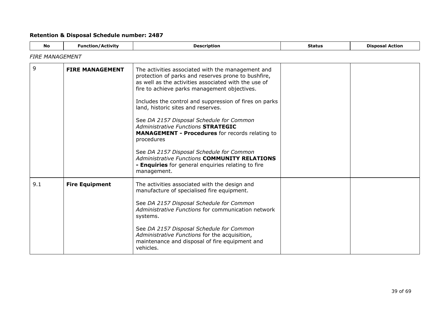<span id="page-38-0"></span>

| No. | <b>Function/Activity</b> | <b>Description</b>                                                                                                                                                                                                                                                                                                                                                                                                                                                                                                            | <b>Status</b> | <b>Disposal Action</b> |  |  |
|-----|--------------------------|-------------------------------------------------------------------------------------------------------------------------------------------------------------------------------------------------------------------------------------------------------------------------------------------------------------------------------------------------------------------------------------------------------------------------------------------------------------------------------------------------------------------------------|---------------|------------------------|--|--|
|     | <b>FIRE MANAGEMENT</b>   |                                                                                                                                                                                                                                                                                                                                                                                                                                                                                                                               |               |                        |  |  |
| 9   | <b>FIRE MANAGEMENT</b>   | The activities associated with the management and<br>protection of parks and reserves prone to bushfire,<br>as well as the activities associated with the use of<br>fire to achieve parks management objectives.<br>Includes the control and suppression of fires on parks<br>land, historic sites and reserves.<br>See DA 2157 Disposal Schedule for Common<br><b>Administrative Functions STRATEGIC</b><br><b>MANAGEMENT - Procedures</b> for records relating to<br>procedures<br>See DA 2157 Disposal Schedule for Common |               |                        |  |  |
|     |                          | <b>Administrative Functions COMMUNITY RELATIONS</b><br>- Enquiries for general enquiries relating to fire<br>management.                                                                                                                                                                                                                                                                                                                                                                                                      |               |                        |  |  |
| 9.1 | <b>Fire Equipment</b>    | The activities associated with the design and<br>manufacture of specialised fire equipment.<br>See DA 2157 Disposal Schedule for Common<br>Administrative Functions for communication network<br>systems.<br>See DA 2157 Disposal Schedule for Common<br>Administrative Functions for the acquisition,                                                                                                                                                                                                                        |               |                        |  |  |
|     |                          | maintenance and disposal of fire equipment and<br>vehicles.                                                                                                                                                                                                                                                                                                                                                                                                                                                                   |               |                        |  |  |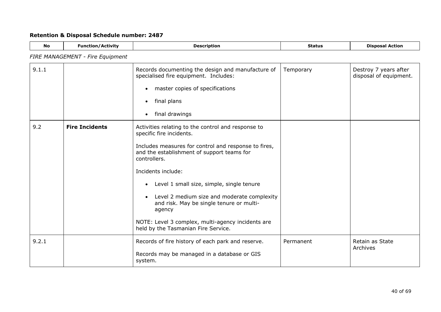| <b>No</b> | <b>Function/Activity</b>         | <b>Description</b>                                                                                                                                                                                                                                                                                                                                                                                                                                                                    | <b>Status</b> | <b>Disposal Action</b>                          |
|-----------|----------------------------------|---------------------------------------------------------------------------------------------------------------------------------------------------------------------------------------------------------------------------------------------------------------------------------------------------------------------------------------------------------------------------------------------------------------------------------------------------------------------------------------|---------------|-------------------------------------------------|
|           | FIRE MANAGEMENT - Fire Equipment |                                                                                                                                                                                                                                                                                                                                                                                                                                                                                       |               |                                                 |
| 9.1.1     |                                  | Records documenting the design and manufacture of<br>specialised fire equipment. Includes:<br>master copies of specifications<br>$\bullet$<br>final plans<br>$\bullet$<br>final drawings<br>$\bullet$                                                                                                                                                                                                                                                                                 | Temporary     | Destroy 7 years after<br>disposal of equipment. |
| 9.2       | <b>Fire Incidents</b>            | Activities relating to the control and response to<br>specific fire incidents.<br>Includes measures for control and response to fires,<br>and the establishment of support teams for<br>controllers.<br>Incidents include:<br>Level 1 small size, simple, single tenure<br>$\bullet$<br>Level 2 medium size and moderate complexity<br>and risk. May be single tenure or multi-<br>agency<br>NOTE: Level 3 complex, multi-agency incidents are<br>held by the Tasmanian Fire Service. |               |                                                 |
| 9.2.1     |                                  | Records of fire history of each park and reserve.<br>Records may be managed in a database or GIS<br>system.                                                                                                                                                                                                                                                                                                                                                                           | Permanent     | Retain as State<br>Archives                     |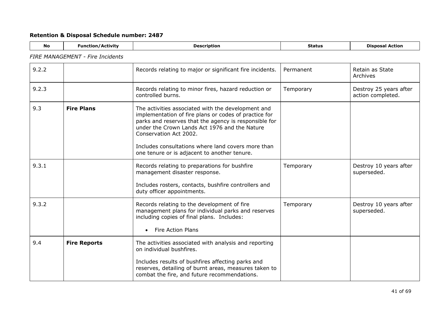| <b>No</b> | <b>Function/Activity</b>                | <b>Description</b>                                                                                                                                                                                                                                                                                    | <b>Status</b> | <b>Disposal Action</b>                      |
|-----------|-----------------------------------------|-------------------------------------------------------------------------------------------------------------------------------------------------------------------------------------------------------------------------------------------------------------------------------------------------------|---------------|---------------------------------------------|
|           | <b>FIRE MANAGEMENT - Fire Incidents</b> |                                                                                                                                                                                                                                                                                                       |               |                                             |
| 9.2.2     |                                         | Records relating to major or significant fire incidents.                                                                                                                                                                                                                                              | Permanent     | Retain as State<br>Archives                 |
| 9.2.3     |                                         | Records relating to minor fires, hazard reduction or<br>controlled burns.                                                                                                                                                                                                                             | Temporary     | Destroy 25 years after<br>action completed. |
| 9.3       | <b>Fire Plans</b>                       | The activities associated with the development and<br>implementation of fire plans or codes of practice for<br>parks and reserves that the agency is responsible for<br>under the Crown Lands Act 1976 and the Nature<br>Conservation Act 2002.<br>Includes consultations where land covers more than |               |                                             |
|           |                                         | one tenure or is adjacent to another tenure.                                                                                                                                                                                                                                                          |               |                                             |
| 9.3.1     |                                         | Records relating to preparations for bushfire<br>management disaster response.                                                                                                                                                                                                                        | Temporary     | Destroy 10 years after<br>superseded.       |
|           |                                         | Includes rosters, contacts, bushfire controllers and<br>duty officer appointments.                                                                                                                                                                                                                    |               |                                             |
| 9.3.2     |                                         | Records relating to the development of fire<br>management plans for individual parks and reserves<br>including copies of final plans. Includes:                                                                                                                                                       | Temporary     | Destroy 10 years after<br>superseded.       |
|           |                                         | <b>Fire Action Plans</b>                                                                                                                                                                                                                                                                              |               |                                             |
| 9.4       | <b>Fire Reports</b>                     | The activities associated with analysis and reporting<br>on individual bushfires.                                                                                                                                                                                                                     |               |                                             |
|           |                                         | Includes results of bushfires affecting parks and<br>reserves, detailing of burnt areas, measures taken to<br>combat the fire, and future recommendations.                                                                                                                                            |               |                                             |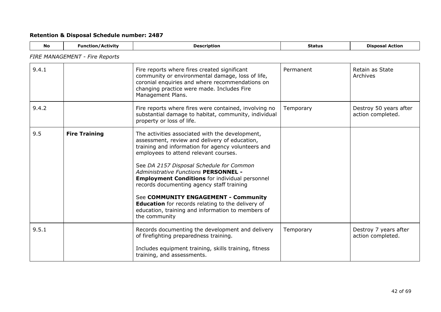| <b>No</b> | <b>Function/Activity</b>              | <b>Description</b>                                                                                                                                                                                                                                                                                                                                                                                                                                                                                                                                                  | <b>Status</b> | <b>Disposal Action</b>                      |
|-----------|---------------------------------------|---------------------------------------------------------------------------------------------------------------------------------------------------------------------------------------------------------------------------------------------------------------------------------------------------------------------------------------------------------------------------------------------------------------------------------------------------------------------------------------------------------------------------------------------------------------------|---------------|---------------------------------------------|
|           | <b>FIRE MANAGEMENT - Fire Reports</b> |                                                                                                                                                                                                                                                                                                                                                                                                                                                                                                                                                                     |               |                                             |
| 9.4.1     |                                       | Fire reports where fires created significant<br>community or environmental damage, loss of life,<br>coronial enquiries and where recommendations on<br>changing practice were made. Includes Fire<br>Management Plans.                                                                                                                                                                                                                                                                                                                                              | Permanent     | Retain as State<br>Archives                 |
| 9.4.2     |                                       | Fire reports where fires were contained, involving no<br>substantial damage to habitat, community, individual<br>property or loss of life.                                                                                                                                                                                                                                                                                                                                                                                                                          | Temporary     | Destroy 50 years after<br>action completed. |
| 9.5       | <b>Fire Training</b>                  | The activities associated with the development,<br>assessment, review and delivery of education,<br>training and information for agency volunteers and<br>employees to attend relevant courses.<br>See DA 2157 Disposal Schedule for Common<br><b>Administrative Functions PERSONNEL -</b><br><b>Employment Conditions</b> for individual personnel<br>records documenting agency staff training<br>See COMMUNITY ENGAGEMENT - Community<br>Education for records relating to the delivery of<br>education, training and information to members of<br>the community |               |                                             |
| 9.5.1     |                                       | Records documenting the development and delivery<br>of firefighting preparedness training.                                                                                                                                                                                                                                                                                                                                                                                                                                                                          | Temporary     | Destroy 7 years after<br>action completed.  |
|           |                                       | Includes equipment training, skills training, fitness<br>training, and assessments.                                                                                                                                                                                                                                                                                                                                                                                                                                                                                 |               |                                             |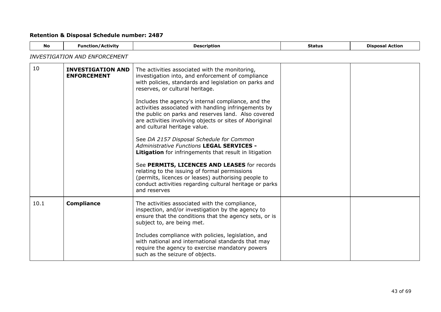<span id="page-42-0"></span>

| No.  | <b>Function/Activity</b>                       | <b>Description</b>                                                                                                                                                                                                                                           | <b>Status</b> | <b>Disposal Action</b> |
|------|------------------------------------------------|--------------------------------------------------------------------------------------------------------------------------------------------------------------------------------------------------------------------------------------------------------------|---------------|------------------------|
|      | <i>INVESTIGATION AND ENFORCEMENT</i>           |                                                                                                                                                                                                                                                              |               |                        |
| 10   | <b>INVESTIGATION AND</b><br><b>ENFORCEMENT</b> | The activities associated with the monitoring,<br>investigation into, and enforcement of compliance<br>with policies, standards and legislation on parks and<br>reserves, or cultural heritage.                                                              |               |                        |
|      |                                                | Includes the agency's internal compliance, and the<br>activities associated with handling infringements by<br>the public on parks and reserves land. Also covered<br>are activities involving objects or sites of Aboriginal<br>and cultural heritage value. |               |                        |
|      |                                                | See DA 2157 Disposal Schedule for Common<br>Administrative Functions LEGAL SERVICES -<br><b>Litigation</b> for infringements that result in litigation                                                                                                       |               |                        |
|      |                                                | See PERMITS, LICENCES AND LEASES for records<br>relating to the issuing of formal permissions<br>(permits, licences or leases) authorising people to<br>conduct activities regarding cultural heritage or parks<br>and reserves                              |               |                        |
| 10.1 | <b>Compliance</b>                              | The activities associated with the compliance,<br>inspection, and/or investigation by the agency to<br>ensure that the conditions that the agency sets, or is<br>subject to, are being met.                                                                  |               |                        |
|      |                                                | Includes compliance with policies, legislation, and<br>with national and international standards that may<br>require the agency to exercise mandatory powers<br>such as the seizure of objects.                                                              |               |                        |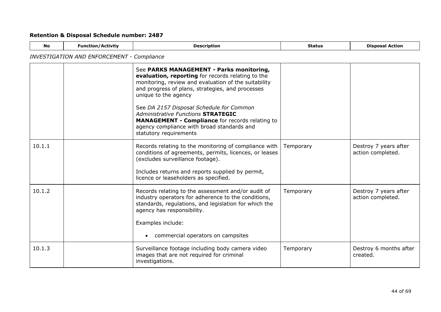| <b>No</b> | <b>Function/Activity</b>                          | <b>Description</b>                                                                                                                                                                                                                                                                                                                                                                                                                                    | <b>Status</b> | <b>Disposal Action</b>                     |
|-----------|---------------------------------------------------|-------------------------------------------------------------------------------------------------------------------------------------------------------------------------------------------------------------------------------------------------------------------------------------------------------------------------------------------------------------------------------------------------------------------------------------------------------|---------------|--------------------------------------------|
|           | <b>INVESTIGATION AND ENFORCEMENT - Compliance</b> |                                                                                                                                                                                                                                                                                                                                                                                                                                                       |               |                                            |
|           |                                                   | See PARKS MANAGEMENT - Parks monitoring,<br>evaluation, reporting for records relating to the<br>monitoring, review and evaluation of the suitability<br>and progress of plans, strategies, and processes<br>unique to the agency<br>See DA 2157 Disposal Schedule for Common<br>Administrative Functions STRATEGIC<br><b>MANAGEMENT - Compliance</b> for records relating to<br>agency compliance with broad standards and<br>statutory requirements |               |                                            |
| 10.1.1    |                                                   | Records relating to the monitoring of compliance with<br>conditions of agreements, permits, licences, or leases<br>(excludes surveillance footage).<br>Includes returns and reports supplied by permit,<br>licence or leaseholders as specified.                                                                                                                                                                                                      | Temporary     | Destroy 7 years after<br>action completed. |
| 10.1.2    |                                                   | Records relating to the assessment and/or audit of<br>industry operators for adherence to the conditions,<br>standards, regulations, and legislation for which the<br>agency has responsibility.<br>Examples include:<br>commercial operators on campsites                                                                                                                                                                                            | Temporary     | Destroy 7 years after<br>action completed. |
| 10.1.3    |                                                   | Surveillance footage including body camera video<br>images that are not required for criminal<br>investigations.                                                                                                                                                                                                                                                                                                                                      | Temporary     | Destroy 6 months after<br>created.         |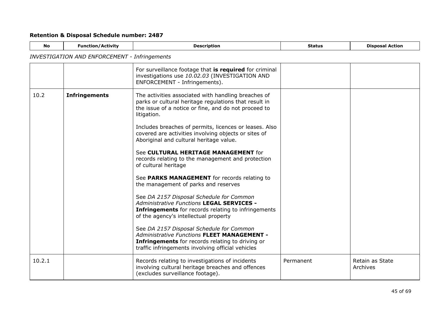| No     | <b>Function/Activity</b>                             | <b>Description</b>                                                                                                                                                                                             | <b>Status</b> | <b>Disposal Action</b>      |
|--------|------------------------------------------------------|----------------------------------------------------------------------------------------------------------------------------------------------------------------------------------------------------------------|---------------|-----------------------------|
|        | <b>INVESTIGATION AND ENFORCEMENT - Infringements</b> |                                                                                                                                                                                                                |               |                             |
|        |                                                      | For surveillance footage that is required for criminal<br>investigations use 10.02.03 (INVESTIGATION AND<br>ENFORCEMENT - Infringements).                                                                      |               |                             |
| 10.2   | <b>Infringements</b>                                 | The activities associated with handling breaches of<br>parks or cultural heritage regulations that result in<br>the issue of a notice or fine, and do not proceed to<br>litigation.                            |               |                             |
|        |                                                      | Includes breaches of permits, licences or leases. Also<br>covered are activities involving objects or sites of<br>Aboriginal and cultural heritage value.                                                      |               |                             |
|        |                                                      | See CULTURAL HERITAGE MANAGEMENT for<br>records relating to the management and protection<br>of cultural heritage                                                                                              |               |                             |
|        |                                                      | See PARKS MANAGEMENT for records relating to<br>the management of parks and reserves                                                                                                                           |               |                             |
|        |                                                      | See DA 2157 Disposal Schedule for Common<br><b>Administrative Functions LEGAL SERVICES -</b><br>Infringements for records relating to infringements<br>of the agency's intellectual property                   |               |                             |
|        |                                                      | See DA 2157 Disposal Schedule for Common<br><b>Administrative Functions FLEET MANAGEMENT -</b><br><b>Infringements</b> for records relating to driving or<br>traffic infringements involving official vehicles |               |                             |
| 10.2.1 |                                                      | Records relating to investigations of incidents<br>involving cultural heritage breaches and offences<br>(excludes surveillance footage).                                                                       | Permanent     | Retain as State<br>Archives |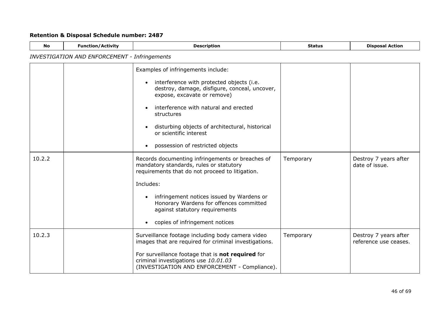| <b>No</b> | <b>Function/Activity</b>                             | <b>Description</b>                                                                                                                                                                                                                                                                                                                      | <b>Status</b> | <b>Disposal Action</b>                         |
|-----------|------------------------------------------------------|-----------------------------------------------------------------------------------------------------------------------------------------------------------------------------------------------------------------------------------------------------------------------------------------------------------------------------------------|---------------|------------------------------------------------|
|           | <b>INVESTIGATION AND ENFORCEMENT - Infringements</b> |                                                                                                                                                                                                                                                                                                                                         |               |                                                |
|           |                                                      | Examples of infringements include:<br>interference with protected objects (i.e.<br>destroy, damage, disfigure, conceal, uncover,<br>expose, excavate or remove)<br>interference with natural and erected<br>structures<br>disturbing objects of architectural, historical<br>or scientific interest<br>possession of restricted objects |               |                                                |
| 10.2.2    |                                                      | Records documenting infringements or breaches of<br>mandatory standards, rules or statutory<br>requirements that do not proceed to litigation.<br>Includes:<br>infringement notices issued by Wardens or<br>Honorary Wardens for offences committed<br>against statutory requirements<br>copies of infringement notices                 | Temporary     | Destroy 7 years after<br>date of issue.        |
| 10.2.3    |                                                      | Surveillance footage including body camera video<br>images that are required for criminal investigations.<br>For surveillance footage that is not required for<br>criminal investigations use 10.01.03<br>(INVESTIGATION AND ENFORCEMENT - Compliance).                                                                                 | Temporary     | Destroy 7 years after<br>reference use ceases. |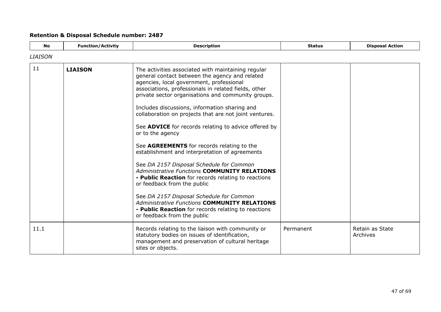<span id="page-46-0"></span>

| <b>No</b>      | <b>Function/Activity</b> | <b>Description</b>                                                                                                                                                                                                                                                                                                                                                                                                                                                                                                                                                                                                                                                                                                                                                                                                                                                                                                                      | <b>Status</b> | <b>Disposal Action</b> |
|----------------|--------------------------|-----------------------------------------------------------------------------------------------------------------------------------------------------------------------------------------------------------------------------------------------------------------------------------------------------------------------------------------------------------------------------------------------------------------------------------------------------------------------------------------------------------------------------------------------------------------------------------------------------------------------------------------------------------------------------------------------------------------------------------------------------------------------------------------------------------------------------------------------------------------------------------------------------------------------------------------|---------------|------------------------|
| <b>LIAISON</b> |                          |                                                                                                                                                                                                                                                                                                                                                                                                                                                                                                                                                                                                                                                                                                                                                                                                                                                                                                                                         |               |                        |
| 11             | <b>LIAISON</b>           | The activities associated with maintaining regular<br>general contact between the agency and related<br>agencies, local government, professional<br>associations, professionals in related fields, other<br>private sector organisations and community groups.<br>Includes discussions, information sharing and<br>collaboration on projects that are not joint ventures.<br>See ADVICE for records relating to advice offered by<br>or to the agency<br>See AGREEMENTS for records relating to the<br>establishment and interpretation of agreements<br>See DA 2157 Disposal Schedule for Common<br><b>Administrative Functions COMMUNITY RELATIONS</b><br>- Public Reaction for records relating to reactions<br>or feedback from the public<br>See DA 2157 Disposal Schedule for Common<br><b>Administrative Functions COMMUNITY RELATIONS</b><br>- Public Reaction for records relating to reactions<br>or feedback from the public |               |                        |
| 11.1           |                          | Records relating to the liaison with community or                                                                                                                                                                                                                                                                                                                                                                                                                                                                                                                                                                                                                                                                                                                                                                                                                                                                                       | Permanent     | Retain as State        |
|                |                          | statutory bodies on issues of identification,<br>management and preservation of cultural heritage<br>sites or objects.                                                                                                                                                                                                                                                                                                                                                                                                                                                                                                                                                                                                                                                                                                                                                                                                                  |               | Archives               |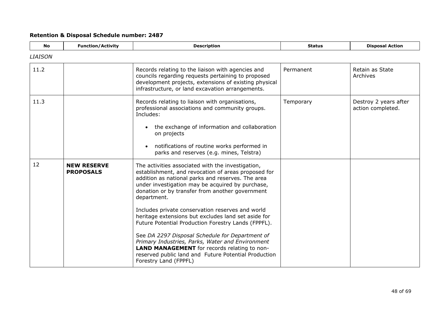<span id="page-47-0"></span>

| <b>No</b>      | <b>Function/Activity</b>               | <b>Description</b>                                                                                                                                                                                                                                                                                                                                                                                                                                                                                       | <b>Status</b> | <b>Disposal Action</b>                     |
|----------------|----------------------------------------|----------------------------------------------------------------------------------------------------------------------------------------------------------------------------------------------------------------------------------------------------------------------------------------------------------------------------------------------------------------------------------------------------------------------------------------------------------------------------------------------------------|---------------|--------------------------------------------|
| <b>LIAISON</b> |                                        |                                                                                                                                                                                                                                                                                                                                                                                                                                                                                                          |               |                                            |
| 11.2           |                                        | Records relating to the liaison with agencies and<br>councils regarding requests pertaining to proposed<br>development projects, extensions of existing physical<br>infrastructure, or land excavation arrangements.                                                                                                                                                                                                                                                                                     | Permanent     | Retain as State<br>Archives                |
| 11.3           |                                        | Records relating to liaison with organisations,<br>professional associations and community groups.<br>Includes:<br>the exchange of information and collaboration<br>on projects<br>notifications of routine works performed in<br>parks and reserves (e.g. mines, Telstra)                                                                                                                                                                                                                               | Temporary     | Destroy 2 years after<br>action completed. |
| 12             | <b>NEW RESERVE</b><br><b>PROPOSALS</b> | The activities associated with the investigation,<br>establishment, and revocation of areas proposed for<br>addition as national parks and reserves. The area<br>under investigation may be acquired by purchase,<br>donation or by transfer from another government<br>department.<br>Includes private conservation reserves and world<br>heritage extensions but excludes land set aside for<br>Future Potential Production Forestry Lands (FPPFL).<br>See DA 2297 Disposal Schedule for Department of |               |                                            |
|                |                                        | Primary Industries, Parks, Water and Environment<br><b>LAND MANAGEMENT</b> for records relating to non-<br>reserved public land and Future Potential Production<br>Forestry Land (FPPFL)                                                                                                                                                                                                                                                                                                                 |               |                                            |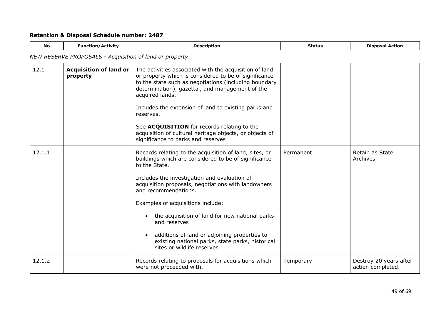| <b>No</b> | <b>Function/Activity</b>                                | <b>Description</b>                                                                                                                                                                                                                                                                                     | <b>Status</b> | <b>Disposal Action</b>                      |
|-----------|---------------------------------------------------------|--------------------------------------------------------------------------------------------------------------------------------------------------------------------------------------------------------------------------------------------------------------------------------------------------------|---------------|---------------------------------------------|
|           | NEW RESERVE PROPOSALS - Acquisition of land or property |                                                                                                                                                                                                                                                                                                        |               |                                             |
| 12.1      | <b>Acquisition of land or</b><br>property               | The activities associated with the acquisition of land<br>or property which is considered to be of significance<br>to the state such as negotiations (including boundary<br>determination), gazettal, and management of the<br>acquired lands.<br>Includes the extension of land to existing parks and |               |                                             |
|           |                                                         | reserves.                                                                                                                                                                                                                                                                                              |               |                                             |
|           |                                                         | See ACQUISITION for records relating to the<br>acquisition of cultural heritage objects, or objects of<br>significance to parks and reserves                                                                                                                                                           |               |                                             |
| 12.1.1    |                                                         | Records relating to the acquisition of land, sites, or<br>buildings which are considered to be of significance<br>to the State.                                                                                                                                                                        | Permanent     | Retain as State<br>Archives                 |
|           |                                                         | Includes the investigation and evaluation of<br>acquisition proposals, negotiations with landowners<br>and recommendations.                                                                                                                                                                            |               |                                             |
|           |                                                         | Examples of acquisitions include:                                                                                                                                                                                                                                                                      |               |                                             |
|           |                                                         | the acquisition of land for new national parks<br>and reserves                                                                                                                                                                                                                                         |               |                                             |
|           |                                                         | additions of land or adjoining properties to<br>existing national parks, state parks, historical<br>sites or wildlife reserves                                                                                                                                                                         |               |                                             |
| 12.1.2    |                                                         | Records relating to proposals for acquisitions which<br>were not proceeded with.                                                                                                                                                                                                                       | Temporary     | Destroy 20 years after<br>action completed. |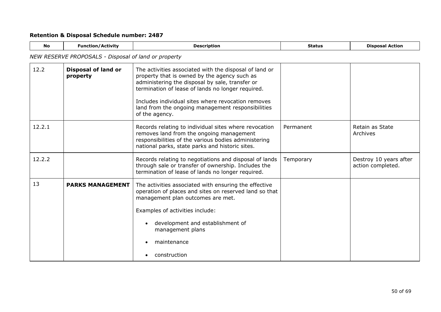<span id="page-49-0"></span>

| <b>No</b> | <b>Function/Activity</b>                             | <b>Description</b>                                                                                                                                                                                                                                                                                                                          | <b>Status</b> | <b>Disposal Action</b>                      |
|-----------|------------------------------------------------------|---------------------------------------------------------------------------------------------------------------------------------------------------------------------------------------------------------------------------------------------------------------------------------------------------------------------------------------------|---------------|---------------------------------------------|
|           | NEW RESERVE PROPOSALS - Disposal of land or property |                                                                                                                                                                                                                                                                                                                                             |               |                                             |
| 12.2      | <b>Disposal of land or</b><br>property               | The activities associated with the disposal of land or<br>property that is owned by the agency such as<br>administering the disposal by sale, transfer or<br>termination of lease of lands no longer required.<br>Includes individual sites where revocation removes<br>land from the ongoing management responsibilities<br>of the agency. |               |                                             |
| 12.2.1    |                                                      | Records relating to individual sites where revocation<br>removes land from the ongoing management<br>responsibilities of the various bodies administering<br>national parks, state parks and historic sites.                                                                                                                                | Permanent     | Retain as State<br>Archives                 |
| 12.2.2    |                                                      | Records relating to negotiations and disposal of lands<br>through sale or transfer of ownership. Includes the<br>termination of lease of lands no longer required.                                                                                                                                                                          | Temporary     | Destroy 10 years after<br>action completed. |
| 13        | <b>PARKS MANAGEMENT</b>                              | The activities associated with ensuring the effective<br>operation of places and sites on reserved land so that<br>management plan outcomes are met.<br>Examples of activities include:<br>development and establishment of<br>management plans<br>maintenance<br>construction                                                              |               |                                             |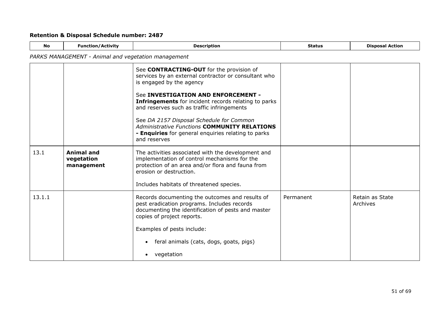| <b>No</b> | <b>Function/Activity</b>                            | <b>Description</b>                                                                                                                                                                 | <b>Status</b> | <b>Disposal Action</b>      |
|-----------|-----------------------------------------------------|------------------------------------------------------------------------------------------------------------------------------------------------------------------------------------|---------------|-----------------------------|
|           | PARKS MANAGEMENT - Animal and vegetation management |                                                                                                                                                                                    |               |                             |
|           |                                                     | See CONTRACTING-OUT for the provision of<br>services by an external contractor or consultant who<br>is engaged by the agency                                                       |               |                             |
|           |                                                     | See INVESTIGATION AND ENFORCEMENT -<br><b>Infringements</b> for incident records relating to parks<br>and reserves such as traffic infringements                                   |               |                             |
|           |                                                     | See DA 2157 Disposal Schedule for Common<br><b>Administrative Functions COMMUNITY RELATIONS</b><br>- Enquiries for general enquiries relating to parks<br>and reserves             |               |                             |
| 13.1      | <b>Animal and</b><br>vegetation<br>management       | The activities associated with the development and<br>implementation of control mechanisms for the<br>protection of an area and/or flora and fauna from<br>erosion or destruction. |               |                             |
|           |                                                     | Includes habitats of threatened species.                                                                                                                                           |               |                             |
| 13.1.1    |                                                     | Records documenting the outcomes and results of<br>pest eradication programs. Includes records<br>documenting the identification of pests and master<br>copies of project reports. | Permanent     | Retain as State<br>Archives |
|           |                                                     | Examples of pests include:                                                                                                                                                         |               |                             |
|           |                                                     | feral animals (cats, dogs, goats, pigs)<br>٠                                                                                                                                       |               |                             |
|           |                                                     | vegetation                                                                                                                                                                         |               |                             |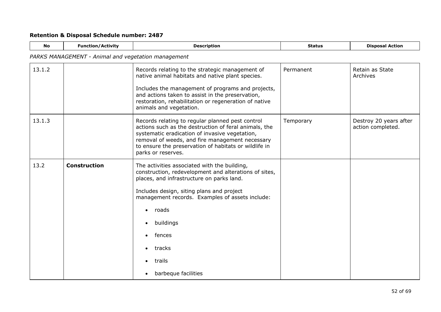| <b>No</b> | <b>Function/Activity</b>                            | <b>Description</b>                                                                                                                                                                                                                                                                                                            | <b>Status</b> | <b>Disposal Action</b>                      |
|-----------|-----------------------------------------------------|-------------------------------------------------------------------------------------------------------------------------------------------------------------------------------------------------------------------------------------------------------------------------------------------------------------------------------|---------------|---------------------------------------------|
|           | PARKS MANAGEMENT - Animal and vegetation management |                                                                                                                                                                                                                                                                                                                               |               |                                             |
| 13.1.2    |                                                     | Records relating to the strategic management of<br>native animal habitats and native plant species.<br>Includes the management of programs and projects,<br>and actions taken to assist in the preservation,<br>restoration, rehabilitation or regeneration of native<br>animals and vegetation.                              | Permanent     | Retain as State<br>Archives                 |
| 13.1.3    |                                                     | Records relating to regular planned pest control<br>actions such as the destruction of feral animals, the<br>systematic eradication of invasive vegetation,<br>removal of weeds, and fire management necessary<br>to ensure the preservation of habitats or wildlife in<br>parks or reserves.                                 | Temporary     | Destroy 20 years after<br>action completed. |
| 13.2      | <b>Construction</b>                                 | The activities associated with the building,<br>construction, redevelopment and alterations of sites,<br>places, and infrastructure on parks land.<br>Includes design, siting plans and project<br>management records. Examples of assets include:<br>roads<br>buildings<br>fences<br>tracks<br>trails<br>barbeque facilities |               |                                             |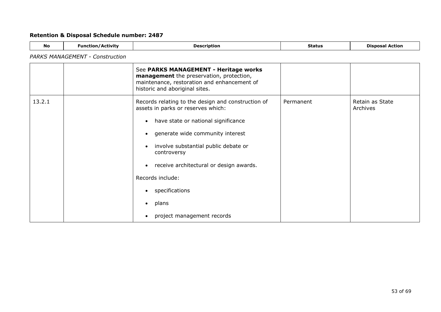# *PARKS MANAGEMENT - Construction*

|        | See PARKS MANAGEMENT - Heritage works<br>management the preservation, protection,<br>maintenance, restoration and enhancement of<br>historic and aboriginal sites.                                                                                                                                                                                                                                     |           |                             |
|--------|--------------------------------------------------------------------------------------------------------------------------------------------------------------------------------------------------------------------------------------------------------------------------------------------------------------------------------------------------------------------------------------------------------|-----------|-----------------------------|
| 13.2.1 | Records relating to the design and construction of<br>assets in parks or reserves which:<br>have state or national significance<br>$\bullet$<br>generate wide community interest<br>$\bullet$<br>involve substantial public debate or<br>$\bullet$<br>controversy<br>receive architectural or design awards.<br>$\bullet$<br>Records include:<br>specifications<br>plans<br>project management records | Permanent | Retain as State<br>Archives |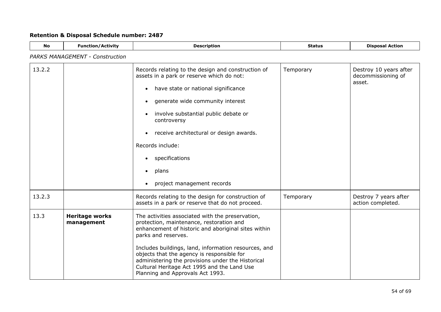| <b>No</b> | <b>Function/Activity</b>               | <b>Description</b>                                                                                                                                                                                                                                                                                                                                                                                                       | <b>Status</b> | <b>Disposal Action</b>                                 |  |  |  |
|-----------|----------------------------------------|--------------------------------------------------------------------------------------------------------------------------------------------------------------------------------------------------------------------------------------------------------------------------------------------------------------------------------------------------------------------------------------------------------------------------|---------------|--------------------------------------------------------|--|--|--|
|           | <b>PARKS MANAGEMENT - Construction</b> |                                                                                                                                                                                                                                                                                                                                                                                                                          |               |                                                        |  |  |  |
| 13.2.2    |                                        | Records relating to the design and construction of<br>assets in a park or reserve which do not:<br>have state or national significance<br>$\bullet$<br>generate wide community interest<br>involve substantial public debate or<br>controversy<br>receive architectural or design awards.<br>$\bullet$<br>Records include:<br>specifications<br>plans<br>project management records                                      | Temporary     | Destroy 10 years after<br>decommissioning of<br>asset. |  |  |  |
| 13.2.3    |                                        | Records relating to the design for construction of<br>assets in a park or reserve that do not proceed.                                                                                                                                                                                                                                                                                                                   | Temporary     | Destroy 7 years after<br>action completed.             |  |  |  |
| 13.3      | <b>Heritage works</b><br>management    | The activities associated with the preservation,<br>protection, maintenance, restoration and<br>enhancement of historic and aboriginal sites within<br>parks and reserves.<br>Includes buildings, land, information resources, and<br>objects that the agency is responsible for<br>administering the provisions under the Historical<br>Cultural Heritage Act 1995 and the Land Use<br>Planning and Approvals Act 1993. |               |                                                        |  |  |  |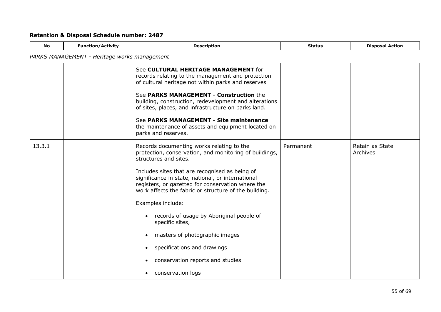$\overline{a}$ 

| <b>No</b> | <b>Function/Activity</b>                     | <b>Description</b>                                                                                                                                                                                                                                                                                                                                                                                                                                                                                                                                                                             | <b>Status</b> | <b>Disposal Action</b>      |  |  |  |
|-----------|----------------------------------------------|------------------------------------------------------------------------------------------------------------------------------------------------------------------------------------------------------------------------------------------------------------------------------------------------------------------------------------------------------------------------------------------------------------------------------------------------------------------------------------------------------------------------------------------------------------------------------------------------|---------------|-----------------------------|--|--|--|
|           | PARKS MANAGEMENT - Heritage works management |                                                                                                                                                                                                                                                                                                                                                                                                                                                                                                                                                                                                |               |                             |  |  |  |
|           |                                              | See CULTURAL HERITAGE MANAGEMENT for<br>records relating to the management and protection<br>of cultural heritage not within parks and reserves<br>See PARKS MANAGEMENT - Construction the<br>building, construction, redevelopment and alterations<br>of sites, places, and infrastructure on parks land.<br>See PARKS MANAGEMENT - Site maintenance<br>the maintenance of assets and equipment located on<br>parks and reserves.                                                                                                                                                             |               |                             |  |  |  |
| 13.3.1    |                                              | Records documenting works relating to the<br>protection, conservation, and monitoring of buildings,<br>structures and sites.<br>Includes sites that are recognised as being of<br>significance in state, national, or international<br>registers, or gazetted for conservation where the<br>work affects the fabric or structure of the building.<br>Examples include:<br>records of usage by Aboriginal people of<br>$\bullet$<br>specific sites,<br>masters of photographic images<br>specifications and drawings<br>$\bullet$<br>conservation reports and studies<br>conservation logs<br>٠ | Permanent     | Retain as State<br>Archives |  |  |  |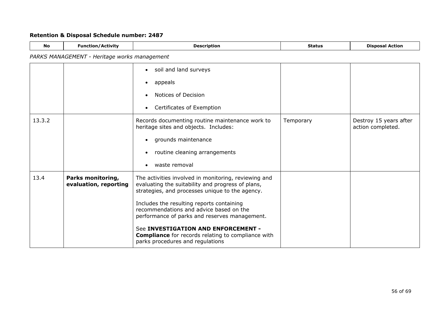| <b>No</b> | <b>Function/Activity</b>                     | <b>Description</b>                                                                                                                                                                                        | <b>Status</b> | <b>Disposal Action</b>                      |
|-----------|----------------------------------------------|-----------------------------------------------------------------------------------------------------------------------------------------------------------------------------------------------------------|---------------|---------------------------------------------|
|           | PARKS MANAGEMENT - Heritage works management |                                                                                                                                                                                                           |               |                                             |
|           |                                              | soil and land surveys<br>$\bullet$                                                                                                                                                                        |               |                                             |
|           |                                              | appeals<br>$\bullet$                                                                                                                                                                                      |               |                                             |
|           |                                              | Notices of Decision                                                                                                                                                                                       |               |                                             |
|           |                                              | Certificates of Exemption<br>$\bullet$                                                                                                                                                                    |               |                                             |
| 13.3.2    |                                              | Records documenting routine maintenance work to<br>heritage sites and objects. Includes:                                                                                                                  | Temporary     | Destroy 15 years after<br>action completed. |
|           |                                              | grounds maintenance<br>$\bullet$                                                                                                                                                                          |               |                                             |
|           |                                              | routine cleaning arrangements                                                                                                                                                                             |               |                                             |
|           |                                              | waste removal<br>$\bullet$                                                                                                                                                                                |               |                                             |
| 13.4      | Parks monitoring,<br>evaluation, reporting   | The activities involved in monitoring, reviewing and<br>evaluating the suitability and progress of plans,<br>strategies, and processes unique to the agency.<br>Includes the resulting reports containing |               |                                             |
|           |                                              | recommendations and advice based on the<br>performance of parks and reserves management.                                                                                                                  |               |                                             |
|           |                                              | See INVESTIGATION AND ENFORCEMENT -<br><b>Compliance</b> for records relating to compliance with<br>parks procedures and regulations                                                                      |               |                                             |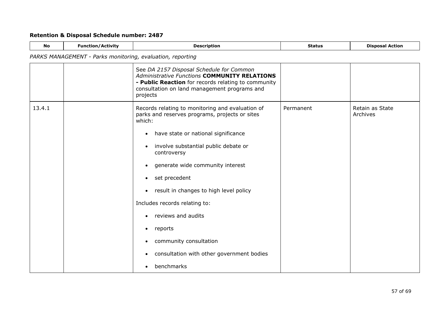| <b>No</b> | <b>Function/Activity</b>                                   | <b>Description</b>                                                                                                                                                                                                                                                                                                                                                                                                                                                                                                                    | <b>Status</b> | <b>Disposal Action</b>      |  |  |
|-----------|------------------------------------------------------------|---------------------------------------------------------------------------------------------------------------------------------------------------------------------------------------------------------------------------------------------------------------------------------------------------------------------------------------------------------------------------------------------------------------------------------------------------------------------------------------------------------------------------------------|---------------|-----------------------------|--|--|
|           | PARKS MANAGEMENT - Parks monitoring, evaluation, reporting |                                                                                                                                                                                                                                                                                                                                                                                                                                                                                                                                       |               |                             |  |  |
|           |                                                            | See DA 2157 Disposal Schedule for Common<br><b>Administrative Functions COMMUNITY RELATIONS</b><br>- Public Reaction for records relating to community<br>consultation on land management programs and<br>projects                                                                                                                                                                                                                                                                                                                    |               |                             |  |  |
| 13.4.1    |                                                            | Records relating to monitoring and evaluation of<br>parks and reserves programs, projects or sites<br>which:<br>have state or national significance<br>$\bullet$<br>involve substantial public debate or<br>controversy<br>generate wide community interest<br>$\bullet$<br>set precedent<br>$\bullet$<br>result in changes to high level policy<br>$\bullet$<br>Includes records relating to:<br>reviews and audits<br>$\bullet$<br>reports<br>$\bullet$<br>community consultation<br>consultation with other government bodies<br>٠ | Permanent     | Retain as State<br>Archives |  |  |
|           |                                                            | benchmarks<br>$\bullet$                                                                                                                                                                                                                                                                                                                                                                                                                                                                                                               |               |                             |  |  |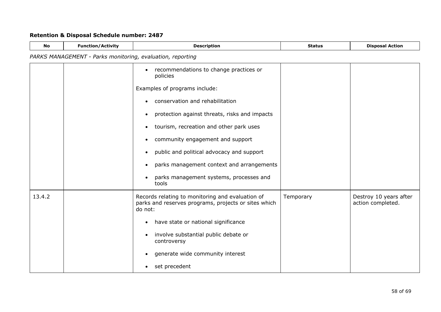| <b>No</b> | <b>Function/Activity</b>                                   | <b>Description</b>                                                                                                  | <b>Status</b> | <b>Disposal Action</b>                      |  |  |
|-----------|------------------------------------------------------------|---------------------------------------------------------------------------------------------------------------------|---------------|---------------------------------------------|--|--|
|           | PARKS MANAGEMENT - Parks monitoring, evaluation, reporting |                                                                                                                     |               |                                             |  |  |
|           |                                                            | recommendations to change practices or<br>$\bullet$<br>policies                                                     |               |                                             |  |  |
|           |                                                            | Examples of programs include:                                                                                       |               |                                             |  |  |
|           |                                                            | conservation and rehabilitation                                                                                     |               |                                             |  |  |
|           |                                                            | protection against threats, risks and impacts<br>$\bullet$                                                          |               |                                             |  |  |
|           |                                                            | tourism, recreation and other park uses                                                                             |               |                                             |  |  |
|           |                                                            | community engagement and support                                                                                    |               |                                             |  |  |
|           |                                                            | public and political advocacy and support                                                                           |               |                                             |  |  |
|           |                                                            | parks management context and arrangements                                                                           |               |                                             |  |  |
|           |                                                            | parks management systems, processes and<br>tools                                                                    |               |                                             |  |  |
| 13.4.2    |                                                            | Records relating to monitoring and evaluation of<br>parks and reserves programs, projects or sites which<br>do not: | Temporary     | Destroy 10 years after<br>action completed. |  |  |
|           |                                                            | have state or national significance<br>٠                                                                            |               |                                             |  |  |
|           |                                                            | involve substantial public debate or<br>$\bullet$<br>controversy                                                    |               |                                             |  |  |
|           |                                                            | generate wide community interest<br>$\bullet$                                                                       |               |                                             |  |  |
|           |                                                            | set precedent<br>$\bullet$                                                                                          |               |                                             |  |  |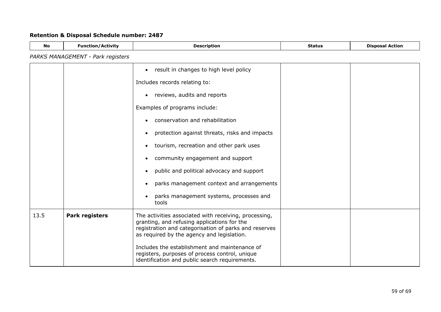| <b>No</b> | <b>Function/Activity</b>          | <b>Description</b>                                                                                                                                                                                          | <b>Status</b> | <b>Disposal Action</b> |
|-----------|-----------------------------------|-------------------------------------------------------------------------------------------------------------------------------------------------------------------------------------------------------------|---------------|------------------------|
|           | PARKS MANAGEMENT - Park registers |                                                                                                                                                                                                             |               |                        |
|           |                                   | result in changes to high level policy<br>$\bullet$                                                                                                                                                         |               |                        |
|           |                                   | Includes records relating to:                                                                                                                                                                               |               |                        |
|           |                                   | reviews, audits and reports<br>$\bullet$                                                                                                                                                                    |               |                        |
|           |                                   | Examples of programs include:                                                                                                                                                                               |               |                        |
|           |                                   | conservation and rehabilitation<br>$\bullet$                                                                                                                                                                |               |                        |
|           |                                   | protection against threats, risks and impacts<br>$\bullet$                                                                                                                                                  |               |                        |
|           |                                   | tourism, recreation and other park uses<br>$\bullet$                                                                                                                                                        |               |                        |
|           |                                   | community engagement and support                                                                                                                                                                            |               |                        |
|           |                                   | public and political advocacy and support<br>$\bullet$                                                                                                                                                      |               |                        |
|           |                                   | parks management context and arrangements<br>$\bullet$                                                                                                                                                      |               |                        |
|           |                                   | parks management systems, processes and<br>$\bullet$<br>tools                                                                                                                                               |               |                        |
| 13.5      | <b>Park registers</b>             | The activities associated with receiving, processing,<br>granting, and refusing applications for the<br>registration and categorisation of parks and reserves<br>as required by the agency and legislation. |               |                        |
|           |                                   | Includes the establishment and maintenance of<br>registers, purposes of process control, unique<br>identification and public search requirements.                                                           |               |                        |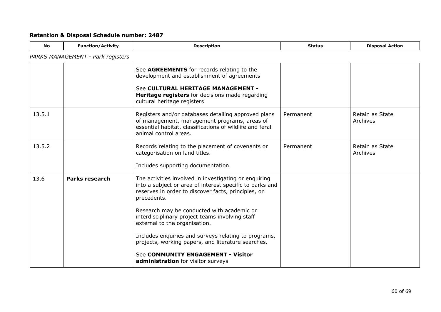| <b>No</b> | <b>Function/Activity</b>          | <b>Description</b>                                                                                                                                                                       | <b>Status</b> | <b>Disposal Action</b>      |  |  |  |  |
|-----------|-----------------------------------|------------------------------------------------------------------------------------------------------------------------------------------------------------------------------------------|---------------|-----------------------------|--|--|--|--|
|           | PARKS MANAGEMENT - Park registers |                                                                                                                                                                                          |               |                             |  |  |  |  |
|           |                                   | See AGREEMENTS for records relating to the<br>development and establishment of agreements                                                                                                |               |                             |  |  |  |  |
|           |                                   | See CULTURAL HERITAGE MANAGEMENT -<br><b>Heritage registers</b> for decisions made regarding<br>cultural heritage registers                                                              |               |                             |  |  |  |  |
| 13.5.1    |                                   | Registers and/or databases detailing approved plans<br>of management, management programs, areas of<br>essential habitat, classifications of wildlife and feral<br>animal control areas. | Permanent     | Retain as State<br>Archives |  |  |  |  |
| 13.5.2    |                                   | Records relating to the placement of covenants or<br>categorisation on land titles.                                                                                                      | Permanent     | Retain as State<br>Archives |  |  |  |  |
|           |                                   | Includes supporting documentation.                                                                                                                                                       |               |                             |  |  |  |  |
| 13.6      | <b>Parks research</b>             | The activities involved in investigating or enquiring<br>into a subject or area of interest specific to parks and<br>reserves in order to discover facts, principles, or<br>precedents.  |               |                             |  |  |  |  |
|           |                                   | Research may be conducted with academic or<br>interdisciplinary project teams involving staff<br>external to the organisation.                                                           |               |                             |  |  |  |  |
|           |                                   | Includes enquiries and surveys relating to programs,                                                                                                                                     |               |                             |  |  |  |  |

projects, working papers, and literature searches.

See **COMMUNITY ENGAGEMENT - Visitor** 

**administration** for visitor surveys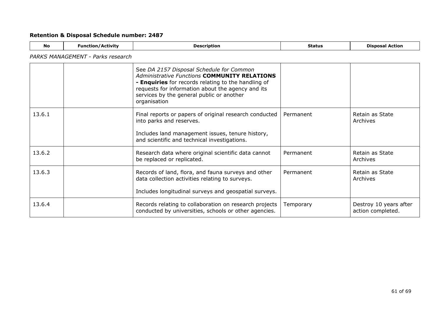| <b>No</b> | <b>Function/Activity</b>          | <b>Description</b>                                                                                                                                                                                                                                                       | <b>Status</b> | <b>Disposal Action</b>                      |  |  |  |
|-----------|-----------------------------------|--------------------------------------------------------------------------------------------------------------------------------------------------------------------------------------------------------------------------------------------------------------------------|---------------|---------------------------------------------|--|--|--|
|           | PARKS MANAGEMENT - Parks research |                                                                                                                                                                                                                                                                          |               |                                             |  |  |  |
|           |                                   | See DA 2157 Disposal Schedule for Common<br><b>Administrative Functions COMMUNITY RELATIONS</b><br>- Enquiries for records relating to the handling of<br>requests for information about the agency and its<br>services by the general public or another<br>organisation |               |                                             |  |  |  |
| 13.6.1    |                                   | Final reports or papers of original research conducted<br>into parks and reserves.<br>Includes land management issues, tenure history,<br>and scientific and technical investigations.                                                                                   | Permanent     | Retain as State<br>Archives                 |  |  |  |
| 13.6.2    |                                   | Research data where original scientific data cannot<br>be replaced or replicated.                                                                                                                                                                                        | Permanent     | Retain as State<br>Archives                 |  |  |  |
| 13.6.3    |                                   | Records of land, flora, and fauna surveys and other<br>data collection activities relating to surveys.<br>Includes longitudinal surveys and geospatial surveys.                                                                                                          | Permanent     | Retain as State<br>Archives                 |  |  |  |
| 13.6.4    |                                   | Records relating to collaboration on research projects<br>conducted by universities, schools or other agencies.                                                                                                                                                          | Temporary     | Destroy 10 years after<br>action completed. |  |  |  |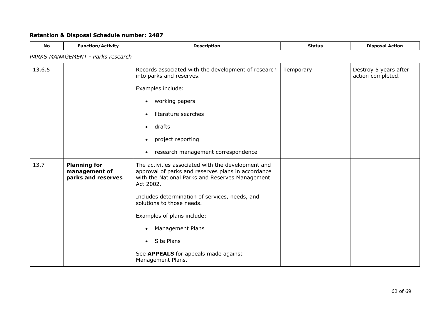| <b>No</b>                         | <b>Function/Activity</b>                                   | <b>Description</b>                                                                                                                                                                                                                                                                                                                                                                                                    | <b>Status</b> | <b>Disposal Action</b>                     |  |
|-----------------------------------|------------------------------------------------------------|-----------------------------------------------------------------------------------------------------------------------------------------------------------------------------------------------------------------------------------------------------------------------------------------------------------------------------------------------------------------------------------------------------------------------|---------------|--------------------------------------------|--|
| PARKS MANAGEMENT - Parks research |                                                            |                                                                                                                                                                                                                                                                                                                                                                                                                       |               |                                            |  |
| 13.6.5                            |                                                            | Records associated with the development of research<br>into parks and reserves.<br>Examples include:<br>working papers<br>$\bullet$<br>literature searches<br>drafts<br>$\bullet$<br>project reporting                                                                                                                                                                                                                | Temporary     | Destroy 5 years after<br>action completed. |  |
|                                   |                                                            | research management correspondence                                                                                                                                                                                                                                                                                                                                                                                    |               |                                            |  |
| 13.7                              | <b>Planning for</b><br>management of<br>parks and reserves | The activities associated with the development and<br>approval of parks and reserves plans in accordance<br>with the National Parks and Reserves Management<br>Act 2002.<br>Includes determination of services, needs, and<br>solutions to those needs.<br>Examples of plans include:<br><b>Management Plans</b><br>$\bullet$<br>Site Plans<br>$\bullet$<br>See APPEALS for appeals made against<br>Management Plans. |               |                                            |  |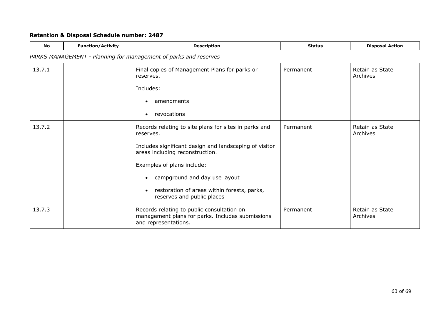| <b>No</b> | <b>Function/Activity</b> | <b>Description</b>                                                                                                     | <b>Status</b> | <b>Disposal Action</b>      |
|-----------|--------------------------|------------------------------------------------------------------------------------------------------------------------|---------------|-----------------------------|
|           |                          | PARKS MANAGEMENT - Planning for management of parks and reserves                                                       |               |                             |
| 13.7.1    |                          | Final copies of Management Plans for parks or<br>reserves.                                                             | Permanent     | Retain as State<br>Archives |
|           |                          | Includes:                                                                                                              |               |                             |
|           |                          | amendments                                                                                                             |               |                             |
|           |                          | revocations                                                                                                            |               |                             |
| 13.7.2    |                          | Records relating to site plans for sites in parks and<br>reserves.                                                     | Permanent     | Retain as State<br>Archives |
|           |                          | Includes significant design and landscaping of visitor<br>areas including reconstruction.                              |               |                             |
|           |                          | Examples of plans include:                                                                                             |               |                             |
|           |                          | campground and day use layout                                                                                          |               |                             |
|           |                          | restoration of areas within forests, parks,<br>reserves and public places                                              |               |                             |
| 13.7.3    |                          | Records relating to public consultation on<br>management plans for parks. Includes submissions<br>and representations. | Permanent     | Retain as State<br>Archives |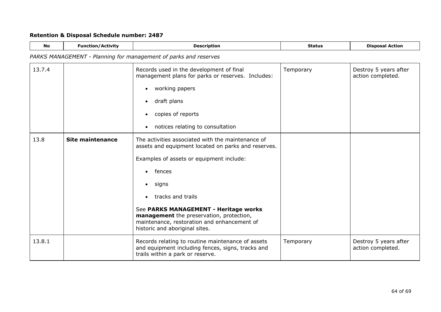| No     | <b>Function/Activity</b>                                         | <b>Description</b>                                                                                                                                                                                                                                                                                                                                                              | <b>Status</b> | <b>Disposal Action</b>                     |  |  |
|--------|------------------------------------------------------------------|---------------------------------------------------------------------------------------------------------------------------------------------------------------------------------------------------------------------------------------------------------------------------------------------------------------------------------------------------------------------------------|---------------|--------------------------------------------|--|--|
|        | PARKS MANAGEMENT - Planning for management of parks and reserves |                                                                                                                                                                                                                                                                                                                                                                                 |               |                                            |  |  |
| 13.7.4 |                                                                  | Records used in the development of final<br>management plans for parks or reserves. Includes:<br>working papers<br>$\bullet$<br>draft plans<br>$\bullet$<br>copies of reports<br>notices relating to consultation<br>$\bullet$                                                                                                                                                  | Temporary     | Destroy 5 years after<br>action completed. |  |  |
| 13.8   | <b>Site maintenance</b>                                          | The activities associated with the maintenance of<br>assets and equipment located on parks and reserves.<br>Examples of assets or equipment include:<br>fences<br>$\bullet$<br>signs<br>tracks and trails<br>See PARKS MANAGEMENT - Heritage works<br>management the preservation, protection,<br>maintenance, restoration and enhancement of<br>historic and aboriginal sites. |               |                                            |  |  |
| 13.8.1 |                                                                  | Records relating to routine maintenance of assets<br>and equipment including fences, signs, tracks and<br>trails within a park or reserve.                                                                                                                                                                                                                                      | Temporary     | Destroy 5 years after<br>action completed. |  |  |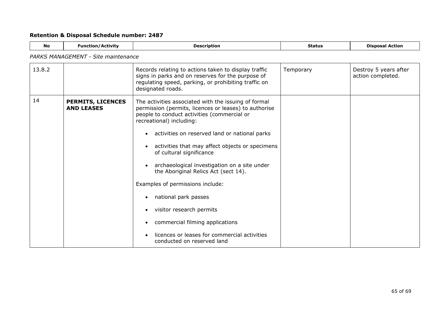<span id="page-64-0"></span>

| <b>No</b> | <b>Function/Activity</b>                      | <b>Description</b>                                                                                                                                                                                                                                                                                                                                                                                                                                                                                                                                                                                                        | <b>Status</b> | <b>Disposal Action</b>                     |  |
|-----------|-----------------------------------------------|---------------------------------------------------------------------------------------------------------------------------------------------------------------------------------------------------------------------------------------------------------------------------------------------------------------------------------------------------------------------------------------------------------------------------------------------------------------------------------------------------------------------------------------------------------------------------------------------------------------------------|---------------|--------------------------------------------|--|
|           | <b>PARKS MANAGEMENT - Site maintenance</b>    |                                                                                                                                                                                                                                                                                                                                                                                                                                                                                                                                                                                                                           |               |                                            |  |
| 13.8.2    |                                               | Records relating to actions taken to display traffic<br>signs in parks and on reserves for the purpose of<br>regulating speed, parking, or prohibiting traffic on<br>designated roads.                                                                                                                                                                                                                                                                                                                                                                                                                                    | Temporary     | Destroy 5 years after<br>action completed. |  |
| 14        | <b>PERMITS, LICENCES</b><br><b>AND LEASES</b> | The activities associated with the issuing of formal<br>permission (permits, licences or leases) to authorise<br>people to conduct activities (commercial or<br>recreational) including:<br>activities on reserved land or national parks<br>activities that may affect objects or specimens<br>of cultural significance<br>archaeological investigation on a site under<br>the Aboriginal Relics Act (sect 14).<br>Examples of permissions include:<br>national park passes<br>visitor research permits<br>commercial filming applications<br>licences or leases for commercial activities<br>conducted on reserved land |               |                                            |  |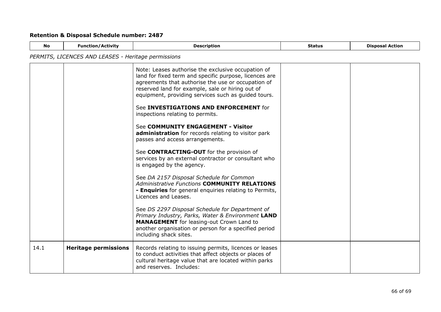| <b>No</b>                                           | <b>Function/Activity</b>    | <b>Description</b>                                                                                                                                                                                                                                                                                                      | <b>Status</b> | <b>Disposal Action</b> |
|-----------------------------------------------------|-----------------------------|-------------------------------------------------------------------------------------------------------------------------------------------------------------------------------------------------------------------------------------------------------------------------------------------------------------------------|---------------|------------------------|
| PERMITS, LICENCES AND LEASES - Heritage permissions |                             |                                                                                                                                                                                                                                                                                                                         |               |                        |
|                                                     |                             | Note: Leases authorise the exclusive occupation of<br>land for fixed term and specific purpose, licences are<br>agreements that authorise the use or occupation of<br>reserved land for example, sale or hiring out of<br>equipment, providing services such as guided tours.<br>See INVESTIGATIONS AND ENFORCEMENT for |               |                        |
|                                                     |                             | inspections relating to permits.<br>See COMMUNITY ENGAGEMENT - Visitor                                                                                                                                                                                                                                                  |               |                        |
|                                                     |                             | administration for records relating to visitor park<br>passes and access arrangements.                                                                                                                                                                                                                                  |               |                        |
|                                                     |                             | See CONTRACTING-OUT for the provision of<br>services by an external contractor or consultant who<br>is engaged by the agency.                                                                                                                                                                                           |               |                        |
|                                                     |                             | See DA 2157 Disposal Schedule for Common<br><b>Administrative Functions COMMUNITY RELATIONS</b><br>- Enquiries for general enquiries relating to Permits,<br>Licences and Leases.                                                                                                                                       |               |                        |
|                                                     |                             | See DS 2297 Disposal Schedule for Department of<br>Primary Industry, Parks, Water & Environment LAND<br><b>MANAGEMENT</b> for leasing-out Crown Land to<br>another organisation or person for a specified period<br>including shack sites.                                                                              |               |                        |
| 14.1                                                | <b>Heritage permissions</b> | Records relating to issuing permits, licences or leases<br>to conduct activities that affect objects or places of<br>cultural heritage value that are located within parks<br>and reserves. Includes:                                                                                                                   |               |                        |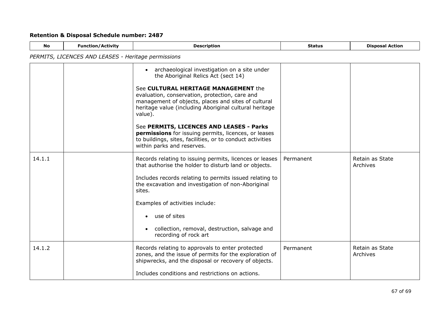| <b>No</b> | <b>Function/Activity</b>                            | <b>Description</b>                                                                                                                                                                                                 | <b>Status</b> | <b>Disposal Action</b>      |  |
|-----------|-----------------------------------------------------|--------------------------------------------------------------------------------------------------------------------------------------------------------------------------------------------------------------------|---------------|-----------------------------|--|
|           | PERMITS, LICENCES AND LEASES - Heritage permissions |                                                                                                                                                                                                                    |               |                             |  |
|           |                                                     | archaeological investigation on a site under<br>the Aboriginal Relics Act (sect 14)                                                                                                                                |               |                             |  |
|           |                                                     | See CULTURAL HERITAGE MANAGEMENT the<br>evaluation, conservation, protection, care and<br>management of objects, places and sites of cultural<br>heritage value (including Aboriginal cultural heritage<br>value). |               |                             |  |
|           |                                                     | See PERMITS, LICENCES AND LEASES - Parks<br>permissions for issuing permits, licences, or leases<br>to buildings, sites, facilities, or to conduct activities<br>within parks and reserves.                        |               |                             |  |
| 14.1.1    |                                                     | Records relating to issuing permits, licences or leases<br>that authorise the holder to disturb land or objects.                                                                                                   | Permanent     | Retain as State<br>Archives |  |
|           |                                                     | Includes records relating to permits issued relating to<br>the excavation and investigation of non-Aboriginal<br>sites.                                                                                            |               |                             |  |
|           |                                                     | Examples of activities include:                                                                                                                                                                                    |               |                             |  |
|           |                                                     | use of sites                                                                                                                                                                                                       |               |                             |  |
|           |                                                     | collection, removal, destruction, salvage and<br>recording of rock art                                                                                                                                             |               |                             |  |
| 14.1.2    |                                                     | Records relating to approvals to enter protected<br>zones, and the issue of permits for the exploration of<br>shipwrecks, and the disposal or recovery of objects.                                                 | Permanent     | Retain as State<br>Archives |  |
|           |                                                     | Includes conditions and restrictions on actions.                                                                                                                                                                   |               |                             |  |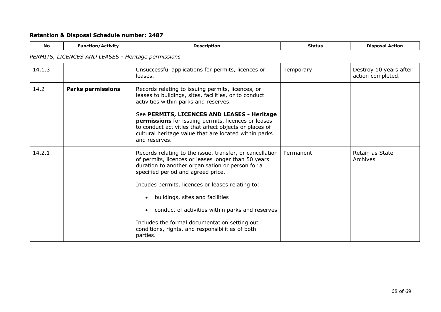| <b>No</b>                                           | <b>Function/Activity</b> | <b>Description</b>                                                                                                                                                                                                                                                                                                                                                                                                                                                   | <b>Status</b> | <b>Disposal Action</b>                      |
|-----------------------------------------------------|--------------------------|----------------------------------------------------------------------------------------------------------------------------------------------------------------------------------------------------------------------------------------------------------------------------------------------------------------------------------------------------------------------------------------------------------------------------------------------------------------------|---------------|---------------------------------------------|
| PERMITS, LICENCES AND LEASES - Heritage permissions |                          |                                                                                                                                                                                                                                                                                                                                                                                                                                                                      |               |                                             |
| 14.1.3                                              |                          | Unsuccessful applications for permits, licences or<br>leases.                                                                                                                                                                                                                                                                                                                                                                                                        | Temporary     | Destroy 10 years after<br>action completed. |
| 14.2                                                | <b>Parks permissions</b> | Records relating to issuing permits, licences, or<br>leases to buildings, sites, facilities, or to conduct<br>activities within parks and reserves.<br>See PERMITS, LICENCES AND LEASES - Heritage<br>permissions for issuing permits, licences or leases<br>to conduct activities that affect objects or places of<br>cultural heritage value that are located within parks<br>and reserves.                                                                        |               |                                             |
| 14.2.1                                              |                          | Records relating to the issue, transfer, or cancellation<br>of permits, licences or leases longer than 50 years<br>duration to another organisation or person for a<br>specified period and agreed price.<br>Incudes permits, licences or leases relating to:<br>buildings, sites and facilities<br>conduct of activities within parks and reserves<br>Includes the formal documentation setting out<br>conditions, rights, and responsibilities of both<br>parties. | Permanent     | Retain as State<br>Archives                 |